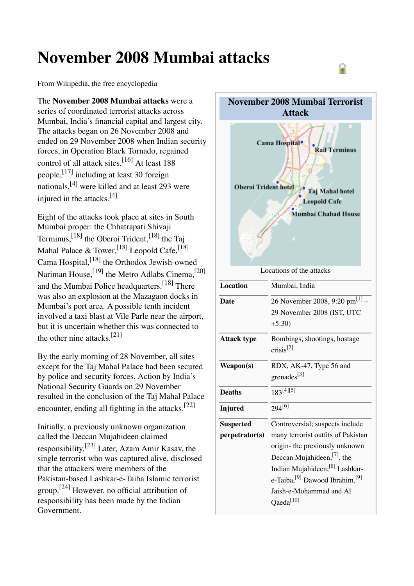# **November 2008 Mumbai attacks**

From Wikipedia, the free encyclopedia

The **November 2008 Mumbai attacks** were a series of coordinated terrorist attacks across Mumbai, India's financial capital and largest city. The attacks began on 26 November 2008 and ended on 29 November 2008 when Indian security forces, in Operation Black Tornado, regained control of all attack sites. [16] At least 188 people,<sup>[17]</sup> including at least 30 foreign nationals, [4] were killed and at least 293 were injured in the attacks.<sup>[4]</sup>

Eight of the attacks took place at sites in South Mumbai proper: the Chhatrapati Shivaji Terminus, <sup>[18]</sup> the Oberoi Trident, <sup>[18]</sup> the Taj Mahal Palace & Tower,<sup>[18]</sup> Leopold Cafe,<sup>[18]</sup> Cama Hospital, <sup>[18]</sup> the Orthodox Jewish-owned Nariman House, <a>[19]</a> the Metro Adlabs Cinema,<a>[20]</a> and the Mumbai Police headquarters.<sup>[18]</sup> There was also an explosion at the Mazagaon docks in Mumbai's port area. A possible tenth incident involved a taxi blast at Vile Parle near the airport, but it is uncertain whether this was connected to the other nine attacks.<sup>[21]</sup>

By the early morning of 28 November, all sites except for the Taj Mahal Palace had been secured by police and security forces. Action by India's National Security Guards on 29 November resulted in the conclusion of the Taj Mahal Palace encounter, ending all fighting in the attacks.<sup>[22]</sup>

Initially, a previously unknown organization called the Deccan Mujahideen claimed responsibility.<sup>[23]</sup> Later, Azam Amir Kasav, the single terrorist who was captured alive, disclosed that the attackers were members of the Pakistan-based Lashkar-e-Taiba Islamic terrorist group.[24] However, no official attribution of responsibility has been made by the Indian Government.



|                    | $+5:30$                                                                                                                                              |  |  |  |
|--------------------|------------------------------------------------------------------------------------------------------------------------------------------------------|--|--|--|
| <b>Attack type</b> | Bombings, shootings, hostage<br>$crisis^{[2]}$                                                                                                       |  |  |  |
| Weapon(s)          | RDX, AK-47, Type 56 and<br>grenades <sup>[3]</sup>                                                                                                   |  |  |  |
| Deaths             | $183^{[4][5]}$                                                                                                                                       |  |  |  |
| Injured            | $294^{[6]}$                                                                                                                                          |  |  |  |
| <b>Suspected</b>   | Controversial; suspects include                                                                                                                      |  |  |  |
| perpetrator(s)     | many terrorist outfits of Pakistan<br>origin- the previously unknown<br>Deccan Mujahideen, $[7]$ , the<br>Indian Mujahideen, <sup>[8]</sup> Lashkar- |  |  |  |
|                    | e-Taiba, <sup>[9]</sup> Dawood Ibrahim, <sup>[9]</sup>                                                                                               |  |  |  |
|                    | Jaish-e-Mohammad and Al<br>$Q$ aeda $^{[10]}$                                                                                                        |  |  |  |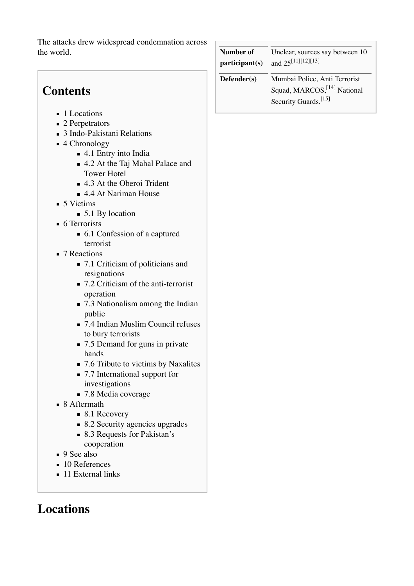The attacks drew widespread condemnation across the world.

# **Contents**

- 1 Locations
- 2 Perpetrators
- 3 Indo-Pakistani Relations
- 4 Chronology
	- 4.1 Entry into India
	- 4.2 At the Taj Mahal Palace and Tower Hotel
	- 4.3 At the Oberoi Trident
	- 4.4 At Nariman House
- $\blacksquare$  5 Victims
	- 5.1 By location
- **6** Terrorists
	- 6.1 Confession of a captured terrorist
- 7 Reactions
	- 7.1 Criticism of politicians and resignations
	- 7.2 Criticism of the anti-terrorist operation
	- 7.3 Nationalism among the Indian public
	- 7.4 Indian Muslim Council refuses to bury terrorists
	- 7.5 Demand for guns in private hands
	- 7.6 Tribute to victims by Naxalites
	- 7.7 International support for investigations
	- 7.8 Media coverage
- 8 Aftermath
	- 8.1 Recovery
	- 8.2 Security agencies upgrades
	- 8.3 Requests for Pakistan's
	- cooperation
- 9 See also
- 10 References
- **11 External links**

# **Locations**

| Unclear, sources say between 10<br>Number of<br>and $25^{[11][12][13]}$<br>participant(s) |                                                                                                              |
|-------------------------------------------------------------------------------------------|--------------------------------------------------------------------------------------------------------------|
| $Defender(s)$                                                                             | Mumbai Police, Anti Terrorist<br>Squad, MARCOS, <sup>[14]</sup> National<br>Security Guards. <sup>[15]</sup> |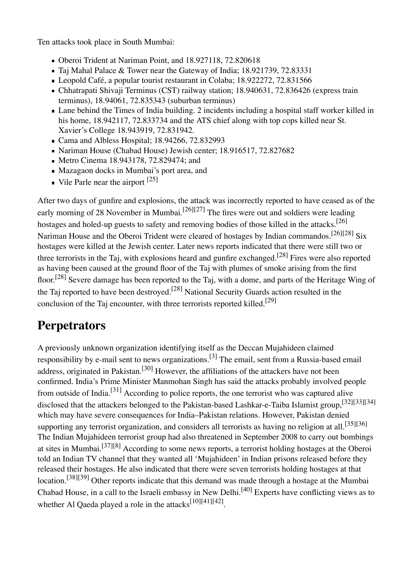Ten attacks took place in South Mumbai:

- Oberoi Trident at Nariman Point, and 18.927118, 72.820618
- Taj Mahal Palace & Tower near the Gateway of India; 18.921739, 72.83331
- Leopold Café, a popular tourist restaurant in Colaba; 18.922272, 72.831566
- Chhatrapati Shivaji Terminus (CST) railway station; 18.940631, 72.836426 (express train terminus), 18.94061, 72.835343 (suburban terminus)
- Lane behind the Times of India building. 2 incidents including a hospital staff worker killed in his home, 18.942117, 72.833734 and the ATS chief along with top cops killed near St. Xavier's College 18.943919, 72.831942.
- Cama and Albless Hospital; 18.94266, 72.832993
- Nariman House (Chabad House) Jewish center; 18.916517, 72.827682
- Metro Cinema 18.943178, 72.829474; and
- Mazagaon docks in Mumbai's port area, and
- Vile Parle near the airport  $^{[25]}$

After two days of gunfire and explosions, the attack was incorrectly reported to have ceased as of the early morning of 28 November in Mumbai.<sup>[26][27]</sup> The fires were out and soldiers were leading hostages and holed-up guests to safety and removing bodies of those killed in the attacks.<sup>[26]</sup> Nariman House and the Oberoi Trident were cleared of hostages by Indian commandos.<sup>[26][28]</sup> Six hostages were killed at the Jewish center. Later news reports indicated that there were still two or three terrorists in the Taj, with explosions heard and gunfire exchanged.<sup>[28]</sup> Fires were also reported as having been caused at the ground floor of the Taj with plumes of smoke arising from the first floor.<sup>[28]</sup> Severe damage has been reported to the Taj, with a dome, and parts of the Heritage Wing of the Taj reported to have been destroyed.<sup>[28]</sup> National Security Guards action resulted in the conclusion of the Taj encounter, with three terrorists reported killed.<sup>[29]</sup>

### **Perpetrators**

A previously unknown organization identifying itself as the Deccan Mujahideen claimed responsibility by e-mail sent to news organizations.<sup>[3]</sup> The email, sent from a Russia-based email address, originated in Pakistan.<sup>[30]</sup> However, the affiliations of the attackers have not been confirmed. India's Prime Minister Manmohan Singh has said the attacks probably involved people from outside of India.<sup>[31]</sup> According to police reports, the one terrorist who was captured alive disclosed that the attackers belonged to the Pakistan-based Lashkar-e-Taiba Islamist group,[32][33][34] which may have severe consequences for India–Pakistan relations. However, Pakistan denied supporting any terrorist organization, and considers all terrorists as having no religion at all.<sup>[35][36]</sup> The Indian Mujahideen terrorist group had also threatened in September 2008 to carry out bombings at sites in Mumbai.<sup>[37][8]</sup> According to some news reports, a terrorist holding hostages at the Oberoi told an Indian TV channel that they wanted all 'Mujahideen' in Indian prisons released before they released their hostages. He also indicated that there were seven terrorists holding hostages at that location.<sup>[38][39]</sup> Other reports indicate that this demand was made through a hostage at the Mumbai Chabad House, in a call to the Israeli embassy in New Delhi.<sup>[40]</sup> Experts have conflicting views as to whether Al Qaeda played a role in the attacks<sup>[10][41][42]</sup>.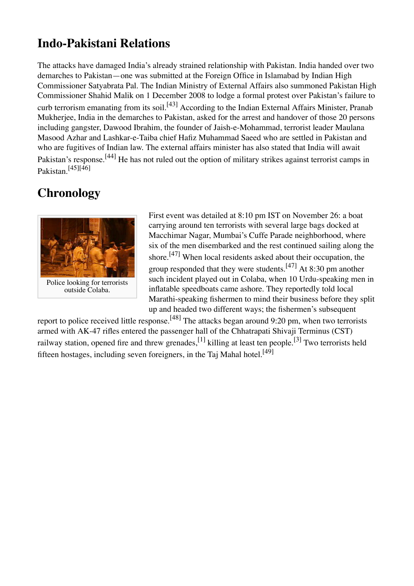## **Indo-Pakistani Relations**

The attacks have damaged India's already strained relationship with Pakistan. India handed over two demarches to Pakistan—one was submitted at the Foreign Office in Islamabad by Indian High Commissioner Satyabrata Pal. The Indian Ministry of External Affairs also summoned Pakistan High Commissioner Shahid Malik on 1 December 2008 to lodge a formal protest over Pakistan's failure to curb terrorism emanating from its soil.<sup>[43]</sup> According to the Indian External Affairs Minister, Pranab Mukherjee, India in the demarches to Pakistan, asked for the arrest and handover of those 20 persons including gangster, Dawood Ibrahim, the founder of Jaish-e-Mohammad, terrorist leader Maulana Masood Azhar and Lashkar-e-Taiba chief Hafiz Muhammad Saeed who are settled in Pakistan and who are fugitives of Indian law. The external affairs minister has also stated that India will await Pakistan's response.<sup>[44]</sup> He has not ruled out the option of military strikes against terrorist camps in Pakistan. [45][46]

# **Chronology**



outside Colaba.

First event was detailed at 8:10 pm IST on November 26: a boat carrying around ten terrorists with several large bags docked at Macchimar Nagar, Mumbai's Cuffe Parade neighborhood, where six of the men disembarked and the rest continued sailing along the shore.<sup>[47]</sup> When local residents asked about their occupation, the group responded that they were students.  $^{[47]}$  At 8:30 pm another such incident played out in Colaba, when 10 Urdu-speaking men in inflatable speedboats came ashore. They reportedly told local Marathi-speaking fishermen to mind their business before they split up and headed two different ways; the fishermen's subsequent

report to police received little response.<sup>[48]</sup> The attacks began around 9:20 pm, when two terrorists armed with AK-47 rifles entered the passenger hall of the Chhatrapati Shivaji Terminus (CST) railway station, opened fire and threw grenades,  $^{[1]}$  killing at least ten people.  $^{[3]}$  Two terrorists held fifteen hostages, including seven foreigners, in the Taj Mahal hotel.<sup>[49]</sup>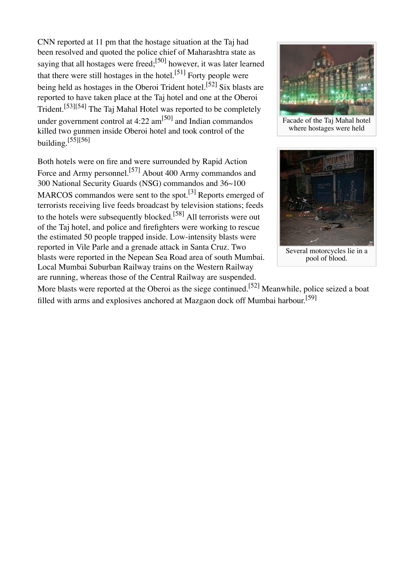CNN reported at 11 pm that the hostage situation at the Taj had been resolved and quoted the police chief of Maharashtra state as saying that all hostages were freed;<sup>[50]</sup> however, it was later learned that there were still hostages in the hotel.<sup>[51]</sup> Forty people were being held as hostages in the Oberoi Trident hotel.<sup>[52]</sup> Six blasts are reported to have taken place at the Taj hotel and one at the Oberoi Trident.<sup>[53][54]</sup> The Taj Mahal Hotel was reported to be completely under government control at 4:22 am<sup>[50]</sup> and Indian commandos killed two gunmen inside Oberoi hotel and took control of the building. $[55][56]$ 

Both hotels were on fire and were surrounded by Rapid Action Force and Army personnel.<sup>[57]</sup> About 400 Army commandos and 300 National Security Guards (NSG) commandos and 36~100 MARCOS commandos were sent to the spot.<sup>[3]</sup> Reports emerged of terrorists receiving live feeds broadcast by television stations; feeds to the hotels were subsequently blocked.<sup>[58]</sup> All terrorists were out of the Taj hotel, and police and firefighters were working to rescue the estimated 50 people trapped inside. Low-intensity blasts were reported in Vile Parle and a grenade attack in Santa Cruz. Two blasts were reported in the Nepean Sea Road area of south Mumbai. Local Mumbai Suburban Railway trains on the Western Railway are running, whereas those of the Central Railway are suspended.



Facade of the Taj Mahal hotel where hostages were held



pool of blood.

More blasts were reported at the Oberoi as the siege continued.<sup>[52]</sup> Meanwhile, police seized a boat filled with arms and explosives anchored at Mazgaon dock off Mumbai harbour.<sup>[59]</sup>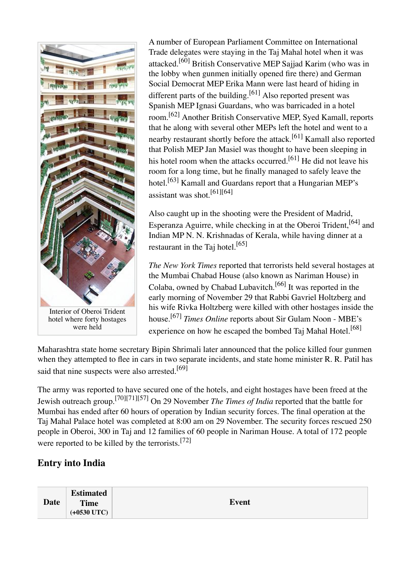

hotel where forty hostages were held

A number of European Parliament Committee on International Trade delegates were staying in the Taj Mahal hotel when it was attacked.<sup>[60]</sup> British Conservative MEP Sajjad Karim (who was in the lobby when gunmen initially opened fire there) and German Social Democrat MEP Erika Mann were last heard of hiding in different parts of the building.<sup>[61]</sup> Also reported present was Spanish MEP Ignasi Guardans, who was barricaded in a hotel room.[62] Another British Conservative MEP, Syed Kamall, reports that he along with several other MEPs left the hotel and went to a nearby restaurant shortly before the attack.<sup>[61]</sup> Kamall also reported that Polish MEP Jan Masiel was thought to have been sleeping in his hotel room when the attacks occurred.<sup>[61]</sup> He did not leave his room for a long time, but he finally managed to safely leave the hotel.<sup>[63]</sup> Kamall and Guardans report that a Hungarian MEP's assistant was shot.[61][64]

Also caught up in the shooting were the President of Madrid, Esperanza Aguirre, while checking in at the Oberoi Trident, <sup>[64]</sup> and Indian MP N. N. Krishnadas of Kerala, while having dinner at a restaurant in the Taj hotel.<sup>[65]</sup>

*The New York Times* reported that terrorists held several hostages at the Mumbai Chabad House (also known as Nariman House) in Colaba, owned by Chabad Lubavitch.<sup>[66]</sup> It was reported in the early morning of November 29 that Rabbi Gavriel Holtzberg and his wife Rivka Holtzberg were killed with other hostages inside the house.[67] *Times Online* reports about Sir Gulam Noon - MBE's experience on how he escaped the bombed Taj Mahal Hotel.<sup>[68]</sup>

Maharashtra state home secretary Bipin Shrimali later announced that the police killed four gunmen when they attempted to flee in cars in two separate incidents, and state home minister R. R. Patil has said that nine suspects were also arrested.<sup>[69]</sup>

The army was reported to have secured one of the hotels, and eight hostages have been freed at the Jewish outreach group.[70][71][57] On 29 November *The Times of India* reported that the battle for Mumbai has ended after 60 hours of operation by Indian security forces. The final operation at the Taj Mahal Palace hotel was completed at 8:00 am on 29 November. The security forces rescued 250 people in Oberoi, 300 in Taj and 12 families of 60 people in Nariman House. A total of 172 people were reported to be killed by the terrorists.<sup>[72]</sup>

#### **Entry into India**

| Date | <b>Estimated</b><br><b>Time</b><br>$(+0530$ UTC) | <b>Event</b> |
|------|--------------------------------------------------|--------------|
|------|--------------------------------------------------|--------------|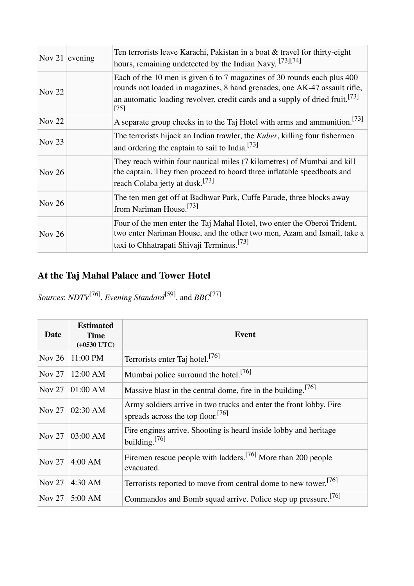|               | Nov 21 evening | Ten terrorists leave Karachi, Pakistan in a boat $&$ travel for thirty-eight<br>hours, remaining undetected by the Indian Navy. [73][74]                                                                                                                   |
|---------------|----------------|------------------------------------------------------------------------------------------------------------------------------------------------------------------------------------------------------------------------------------------------------------|
| <b>Nov 22</b> |                | Each of the 10 men is given 6 to 7 magazines of 30 rounds each plus 400<br>rounds not loaded in magazines, 8 hand grenades, one AK-47 assault rifle,<br>an automatic loading revolver, credit cards and a supply of dried fruit. <sup>[73]</sup><br>$[75]$ |
| <b>Nov 22</b> |                | A separate group checks in to the Taj Hotel with arms and ammunition. <sup>[73]</sup>                                                                                                                                                                      |
| Nov $23$      |                | The terrorists hijack an Indian trawler, the Kuber, killing four fishermen<br>and ordering the captain to sail to India. <sup>[73]</sup>                                                                                                                   |
| <b>Nov 26</b> |                | They reach within four nautical miles (7 kilometres) of Mumbai and kill<br>the captain. They then proceed to board three inflatable speedboats and<br>reach Colaba jetty at dusk. <sup>[73]</sup>                                                          |
| Nov 26        |                | The ten men get off at Badhwar Park, Cuffe Parade, three blocks away<br>from Nariman House. <sup>[73]</sup>                                                                                                                                                |
| Nov 26        |                | Four of the men enter the Taj Mahal Hotel, two enter the Oberoi Trident,<br>two enter Nariman House, and the other two men, Azam and Ismail, take a<br>taxi to Chhatrapati Shivaji Terminus. <sup>[73]</sup>                                               |

# **At the Taj Mahal Palace and Tower Hotel**

*Sources*: *NDTV*[76] , *Evening Standard*[59] , and *BBC*[77]

| Date          | <b>Estimated</b><br><b>Time</b><br>$(+0530$ UTC) | <b>Event</b>                                                                                                        |  |
|---------------|--------------------------------------------------|---------------------------------------------------------------------------------------------------------------------|--|
| Nov $26$      | 11:00 PM                                         | Terrorists enter Taj hotel. <sup>[76]</sup>                                                                         |  |
| Nov $27$      | 12:00 AM                                         | Mumbai police surround the hotel. <sup>[76]</sup>                                                                   |  |
| Nov $27$      | 01:00 AM                                         | Massive blast in the central dome, fire in the building. <sup>[76]</sup>                                            |  |
| Nov $27$      | 02:30 AM                                         | Army soldiers arrive in two trucks and enter the front lobby. Fire<br>spreads across the top floor. <sup>[76]</sup> |  |
| Nov $27$      | 03:00 AM                                         | Fire engines arrive. Shooting is heard inside lobby and heritage<br>building. $[76]$                                |  |
| Nov $27$      | $4:00$ AM                                        | Firemen rescue people with ladders. <sup>[76]</sup> More than 200 people<br>evacuated.                              |  |
| <b>Nov 27</b> | 4:30 AM                                          | Terrorists reported to move from central dome to new tower. <sup>[76]</sup>                                         |  |
| Nov $27$      | 5:00 AM                                          | Commandos and Bomb squad arrive. Police step up pressure. <sup>[76]</sup>                                           |  |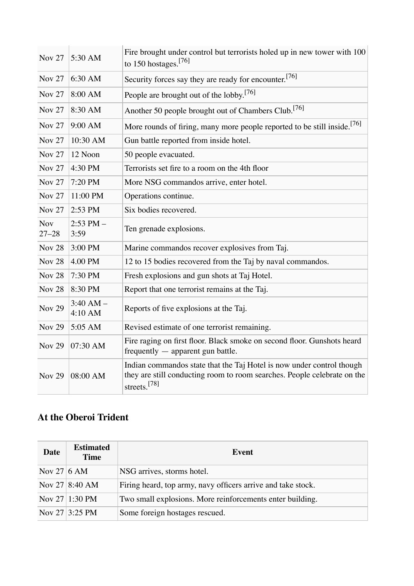| <b>Nov 27</b>           | 5:30 AM                  | Fire brought under control but terrorists holed up in new tower with 100<br>to 150 hostages. $[76]$                                                                           |  |  |  |
|-------------------------|--------------------------|-------------------------------------------------------------------------------------------------------------------------------------------------------------------------------|--|--|--|
| <b>Nov 27</b>           | 6:30 AM                  | Security forces say they are ready for encounter. <sup>[76]</sup>                                                                                                             |  |  |  |
| <b>Nov 27</b>           | 8:00 AM                  | People are brought out of the lobby. <sup>[76]</sup>                                                                                                                          |  |  |  |
| <b>Nov 27</b>           | 8:30 AM                  | Another 50 people brought out of Chambers Club. <sup>[76]</sup>                                                                                                               |  |  |  |
| <b>Nov 27</b>           | 9:00 AM                  | More rounds of firing, many more people reported to be still inside. <sup>[76]</sup>                                                                                          |  |  |  |
| <b>Nov 27</b>           | 10:30 AM                 | Gun battle reported from inside hotel.                                                                                                                                        |  |  |  |
| <b>Nov 27</b>           | 12 Noon                  | 50 people evacuated.                                                                                                                                                          |  |  |  |
| <b>Nov 27</b>           | 4:30 PM                  | Terrorists set fire to a room on the 4th floor                                                                                                                                |  |  |  |
| <b>Nov 27</b>           | 7:20 PM                  | More NSG commandos arrive, enter hotel.                                                                                                                                       |  |  |  |
| <b>Nov 27</b>           | 11:00 PM                 | Operations continue.                                                                                                                                                          |  |  |  |
| <b>Nov 27</b>           | 2:53 PM                  | Six bodies recovered.                                                                                                                                                         |  |  |  |
| <b>Nov</b><br>$27 - 28$ | $2:53$ PM $-$<br>3:59    | Ten grenade explosions.                                                                                                                                                       |  |  |  |
| <b>Nov 28</b>           | 3:00 PM                  | Marine commandos recover explosives from Taj.                                                                                                                                 |  |  |  |
| <b>Nov 28</b>           | 4.00 PM                  | 12 to 15 bodies recovered from the Taj by naval commandos.                                                                                                                    |  |  |  |
| <b>Nov 28</b>           | 7:30 PM                  | Fresh explosions and gun shots at Taj Hotel.                                                                                                                                  |  |  |  |
| <b>Nov 28</b>           | 8:30 PM                  | Report that one terrorist remains at the Taj.                                                                                                                                 |  |  |  |
| <b>Nov 29</b>           | $3:40$ AM $-$<br>4:10 AM | Reports of five explosions at the Taj.                                                                                                                                        |  |  |  |
| <b>Nov 29</b>           | 5:05 AM                  | Revised estimate of one terrorist remaining.                                                                                                                                  |  |  |  |
| <b>Nov 29</b>           | 07:30 AM                 | Fire raging on first floor. Black smoke on second floor. Gunshots heard<br>frequently - apparent gun battle.                                                                  |  |  |  |
| <b>Nov 29</b>           | 08:00 AM                 | Indian commandos state that the Taj Hotel is now under control though<br>they are still conducting room to room searches. People celebrate on the<br>streets. <sup>[78]</sup> |  |  |  |

### **At the Oberoi Trident**

| <b>Date</b> | <b>Estimated</b><br><b>Time</b> | Event                                                        |  |
|-------------|---------------------------------|--------------------------------------------------------------|--|
| Nov 27 6 AM |                                 | NSG arrives, storms hotel.                                   |  |
|             | Nov 27 8:40 AM                  | Firing heard, top army, navy officers arrive and take stock. |  |
|             | Nov 27 1:30 PM                  | Two small explosions. More reinforcements enter building.    |  |
|             | Nov 27 3:25 PM                  | Some foreign hostages rescued.                               |  |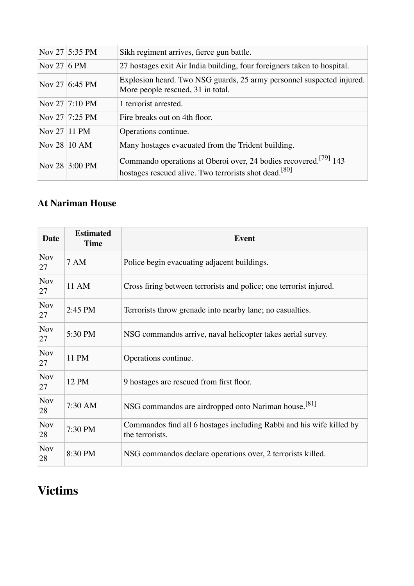|                        | Nov 27 5:35 PM | Sikh regiment arrives, fierce gun battle.                                                                                                         |  |
|------------------------|----------------|---------------------------------------------------------------------------------------------------------------------------------------------------|--|
| Nov 27 6 PM            |                | 27 hostages exit Air India building, four foreigners taken to hospital.                                                                           |  |
|                        | Nov 27 6:45 PM | Explosion heard. Two NSG guards, 25 army personnel suspected injured.<br>More people rescued, 31 in total.                                        |  |
|                        | Nov 27 7:10 PM | 1 terrorist arrested.                                                                                                                             |  |
|                        | Nov 27 7:25 PM | Fire breaks out on 4th floor.                                                                                                                     |  |
| Nov $27 11$ PM         |                | Operations continue.                                                                                                                              |  |
| Nov $28 10 \text{ AM}$ |                | Many hostages evacuated from the Trident building.                                                                                                |  |
|                        | Nov 28 3:00 PM | Commando operations at Oberoi over, 24 bodies recovered. <sup>[79]</sup> 143<br>hostages rescued alive. Two terrorists shot dead. <sup>[80]</sup> |  |

### **At Nariman House**

| <b>Date</b>      | <b>Estimated</b><br><b>Time</b> | <b>Event</b>                                                                            |  |
|------------------|---------------------------------|-----------------------------------------------------------------------------------------|--|
| <b>Nov</b><br>27 | <b>7 AM</b>                     | Police begin evacuating adjacent buildings.                                             |  |
| <b>Nov</b><br>27 | 11 AM                           | Cross firing between terrorists and police; one terrorist injured.                      |  |
| Nov<br>27        | 2:45 PM                         | Terrorists throw grenade into nearby lane; no casualties.                               |  |
| Nov<br>27        | 5:30 PM                         | NSG commandos arrive, naval helicopter takes aerial survey.                             |  |
| Nov<br>27        | 11 PM                           | Operations continue.                                                                    |  |
| <b>Nov</b><br>27 | 12 PM                           | 9 hostages are rescued from first floor.                                                |  |
| <b>Nov</b><br>28 | 7:30 AM                         | NSG commandos are airdropped onto Nariman house. <sup>[81]</sup>                        |  |
| <b>Nov</b><br>28 | 7:30 PM                         | Commandos find all 6 hostages including Rabbi and his wife killed by<br>the terrorists. |  |
| Nov<br>28        | 8:30 PM                         | NSG commandos declare operations over, 2 terrorists killed.                             |  |

# **Victims**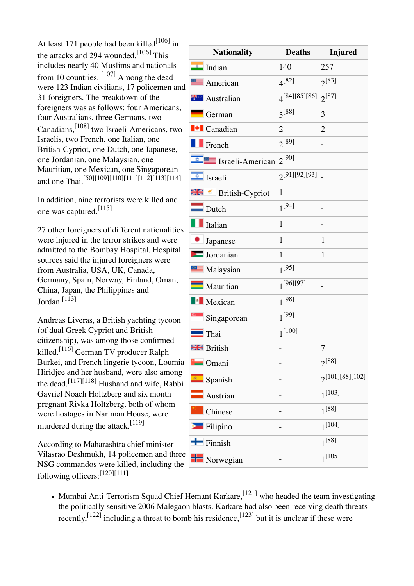At least 171 people had been killed<sup>[106]</sup> in the attacks and 294 wounded.<sup>[106]</sup> This includes nearly 40 Muslims and nationals from 10 countries. <sup>[107]</sup> Among the dead were 123 Indian civilians, 17 policemen and 31 foreigners. The breakdown of the foreigners was as follows: four Americans, four Australians, three Germans, two Canadians, <sup>[108]</sup> two Israeli-Americans, two Israelis, two French, one Italian, one British-Cypriot, one Dutch, one Japanese, one Jordanian, one Malaysian, one Mauritian, one Mexican, one Singaporean and one Thai.[50][109][110][111][112][113][114]

In addition, nine terrorists were killed and one was captured.[115]

27 other foreigners of different nationalities were injured in the terror strikes and were admitted to the Bombay Hospital. Hospital sources said the injured foreigners were from Australia, USA, UK, Canada, Germany, Spain, Norway, Finland, Oman, China, Japan, the Philippines and Jordan.[113]

Andreas Liveras, a British yachting tycoon (of dual Greek Cypriot and British citizenship), was among those confirmed killed.[116] German TV producer Ralph Burkei, and French lingerie tycoon, Loumia Hiridjee and her husband, were also among the dead.<sup>[117][118]</sup> Husband and wife, Rabbi Gavriel Noach Holtzberg and six month pregnant Rivka Holtzberg, both of whom were hostages in Nariman House, were murdered during the attack.<sup>[119]</sup>

According to Maharashtra chief minister Vilasrao Deshmukh, 14 policemen and three NSG commandos were killed, including the following officers: [120][111]

| <b>Nationality</b>              | <b>Deaths</b>  | <b>Injured</b>       |
|---------------------------------|----------------|----------------------|
| <b>External Indian</b>          | 140            | 257                  |
| American                        | $4^{[82]}$     | $2^{[83]}$           |
| <b>TH</b> Australian            | 4[84][85][86]  | $2^{[87]}$           |
| $\blacksquare$ German           | $3^{[88]}$     | 3                    |
| $\blacksquare$ Canadian         | $\overline{2}$ | $\overline{2}$       |
| $\blacksquare$ French           | $2^{[89]}$     |                      |
| $\frac{1}{2}$ Israeli-American  | $2^{[90]}$     |                      |
| $\sqrt{\frac{2}{n}}$ Israeli    | 2[91][92][93]  |                      |
| $\mathbb{R}$ Me British-Cypriot | $\mathbf{1}$   | $\overline{a}$       |
| $\Box$ Dutch                    | $1^{[94]}$     |                      |
| $\blacksquare$ Italian          | 1              |                      |
| • Japanese                      | $\mathbf{1}$   | 1                    |
| <b>Executed</b> Jordanian       | $\mathbf{1}$   | $\mathbf{1}$         |
| Malaysian                       | $1^{[95]}$     |                      |
| Mauritian                       | $1^{[96][97]}$ |                      |
| <b>Nexican</b>                  | $1^{[98]}$     | $\overline{a}$       |
| singaporean                     | $1^{[99]}$     | $\overline{a}$       |
| $\blacksquare$ Thai             | $1^{[100]}$    | $\overline{a}$       |
| <b>BR</b> British               |                | 7                    |
| <b>D</b> Omani                  |                | $2^{[88]}$           |
| spanish                         |                | $2^{[101][88][102]}$ |
| $\blacksquare$ Austrian         | -              | $1^{[103]}$          |
| Chinese                         |                | $1^{[88]}$           |
| Filipino                        |                | $1^{[104]}$          |
| $\blacksquare$ Finnish          | -              | $1^{[88]}$           |
| <b>H</b> Norwegian              | -              | $1^{[105]}$          |

Mumbai Anti-Terrorism Squad Chief Hemant Karkare,<sup>[121]</sup> who headed the team investigating the politically sensitive 2006 Malegaon blasts. Karkare had also been receiving death threats recently,  $^{[122]}$  including a threat to bomb his residence,  $^{[123]}$  but it is unclear if these were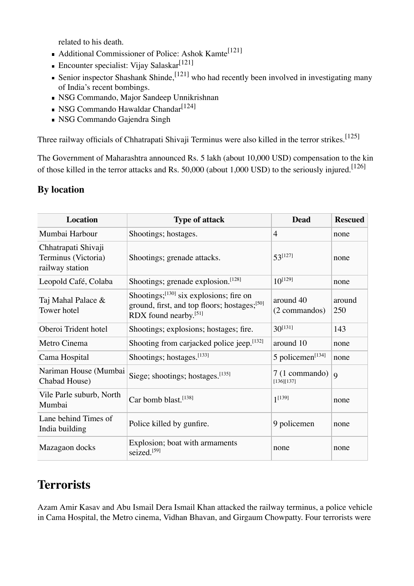related to his death.

- $\blacksquare$  Additional Commissioner of Police: Ashok Kamte<sup>[121]</sup>
- Encounter specialist: Vijay Salaskar<sup>[121]</sup>
- Senior inspector Shashank Shinde, <sup>[121]</sup> who had recently been involved in investigating many of India's recent bombings.
- NSG Commando, Major Sandeep Unnikrishnan
- NSG Commando Hawaldar Chandar<sup>[124]</sup>
- NSG Commando Gajendra Singh

Three railway officials of Chhatrapati Shivaji Terminus were also killed in the terror strikes. [125]

The Government of Maharashtra announced Rs. 5 lakh (about 10,000 USD) compensation to the kin of those killed in the terror attacks and Rs. 50,000 (about 1,000 USD) to the seriously injured.<sup>[126]</sup>

#### **By location**

| <b>Location</b>                                               | <b>Type of attack</b>                                                                                                                 | <b>Dead</b>                  | <b>Rescued</b> |
|---------------------------------------------------------------|---------------------------------------------------------------------------------------------------------------------------------------|------------------------------|----------------|
| Mumbai Harbour                                                | Shootings; hostages.                                                                                                                  | 4                            | none           |
| Chhatrapati Shivaji<br>Terminus (Victoria)<br>railway station | Shootings; grenade attacks.                                                                                                           | $53^{[127]}$                 | none           |
| Leopold Café, Colaba                                          | Shootings; grenade explosion. <sup>[128]</sup>                                                                                        | $10^{[129]}$                 | none           |
| Taj Mahal Palace &<br>Tower hotel                             | Shootings; $^{[130]}$ six explosions; fire on<br>ground, first, and top floors; hostages; <sup>[50]</sup><br>RDX found nearby. $[51]$ | around 40<br>(2 commandos)   | around<br>250  |
| Oberoi Trident hotel                                          | Shootings; explosions; hostages; fire.                                                                                                | $30^{[131]}$                 | 143            |
| Metro Cinema                                                  | Shooting from carjacked police jeep.[132]                                                                                             | around 10                    | none           |
| Cama Hospital                                                 | Shootings; hostages. $[133]$                                                                                                          | 5 policemen <sup>[134]</sup> | none           |
| Nariman House (Mumbai<br>Chabad House)                        | Siege; shootings; hostages. $[135]$                                                                                                   | 7 (1 commando)<br>[136][137] | $\overline{Q}$ |
| Vile Parle suburb, North<br>Mumbai                            | Car bomb blast.[138]                                                                                                                  | $1^{[139]}$                  | none           |
| Lane behind Times of<br>India building                        | Police killed by gunfire.                                                                                                             | 9 policemen                  | none           |
| Mazagaon docks                                                | Explosion; boat with armaments<br>seized.[59]                                                                                         | none                         | none           |

### **Terrorists**

Azam Amir Kasav and Abu Ismail Dera Ismail Khan attacked the railway terminus, a police vehicle in Cama Hospital, the Metro cinema, Vidhan Bhavan, and Girgaum Chowpatty. Four terrorists were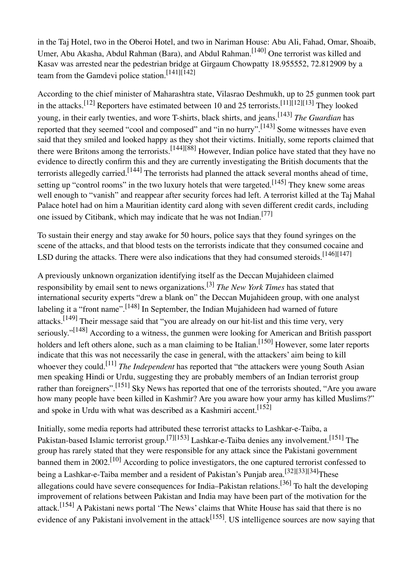in the Taj Hotel, two in the Oberoi Hotel, and two in Nariman House: Abu Ali, Fahad, Omar, Shoaib, Umer, Abu Akasha, Abdul Rahman (Bara), and Abdul Rahman. <sup>[140]</sup> One terrorist was killed and Kasav was arrested near the pedestrian bridge at Girgaum Chowpatty 18.955552, 72.812909 by a team from the Gamdevi police station.<sup>[141][142]</sup>

According to the chief minister of Maharashtra state, Vilasrao Deshmukh, up to 25 gunmen took part in the attacks.<sup>[12]</sup> Reporters have estimated between 10 and 25 terrorists.<sup>[11][12][13]</sup> They looked young, in their early twenties, and wore T-shirts, black shirts, and jeans. [143] *The Guardian* has reported that they seemed "cool and composed" and "in no hurry".<sup>[143]</sup> Some witnesses have even said that they smiled and looked happy as they shot their victims. Initially, some reports claimed that there were Britons among the terrorists.<sup>[144][88]</sup> However, Indian police have stated that they have no evidence to directly confirm this and they are currently investigating the British documents that the terrorists allegedly carried.<sup>[144]</sup> The terrorists had planned the attack several months ahead of time, setting up "control rooms" in the two luxury hotels that were targeted.<sup>[145]</sup> They knew some areas well enough to "vanish" and reappear after security forces had left. A terrorist killed at the Taj Mahal Palace hotel had on him a Mauritian identity card along with seven different credit cards, including one issued by Citibank, which may indicate that he was not Indian.<sup>[77]</sup>

To sustain their energy and stay awake for 50 hours, police says that they found syringes on the scene of the attacks, and that blood tests on the terrorists indicate that they consumed cocaine and LSD during the attacks. There were also indications that they had consumed steroids.  $^{[146][147]}$ 

A previously unknown organization identifying itself as the Deccan Mujahideen claimed responsibility by email sent to news organizations. [3] *The New York Times* has stated that international security experts "drew a blank on" the Deccan Mujahideen group, with one analyst labeling it a "front name".<sup>[148]</sup> In September, the Indian Mujahideen had warned of future attacks.<sup>[149]</sup> Their message said that "you are already on our hit-list and this time very, very seriously."<sup>[148]</sup> According to a witness, the gunmen were looking for American and British passport holders and left others alone, such as a man claiming to be Italian.<sup>[150]</sup> However, some later reports indicate that this was not necessarily the case in general, with the attackers' aim being to kill whoever they could.[11] *The Independent* has reported that "the attackers were young South Asian men speaking Hindi or Urdu, suggesting they are probably members of an Indian terrorist group rather than foreigners".<sup>[151]</sup> Sky News has reported that one of the terrorists shouted, "Are you aware how many people have been killed in Kashmir? Are you aware how your army has killed Muslims?" and spoke in Urdu with what was described as a Kashmiri accent.<sup>[152]</sup>

Initially, some media reports had attributed these terrorist attacks to Lashkar-e-Taiba, a Pakistan-based Islamic terrorist group.<sup>[7][153]</sup> Lashkar-e-Taiba denies any involvement.<sup>[151]</sup> The group has rarely stated that they were responsible for any attack since the Pakistani government banned them in 2002.<sup>[10]</sup> According to police investigators, the one captured terrorist confessed to being a Lashkar-e-Taiba member and a resident of Pakistan's Punjab area.<sup>[32][33][34]</sup>These allegations could have severe consequences for India–Pakistan relations.<sup>[36]</sup> To halt the developing improvement of relations between Pakistan and India may have been part of the motivation for the attack.<sup>[154]</sup> A Pakistani news portal 'The News' claims that White House has said that there is no evidence of any Pakistani involvement in the attack<sup>[155]</sup>. US intelligence sources are now saying that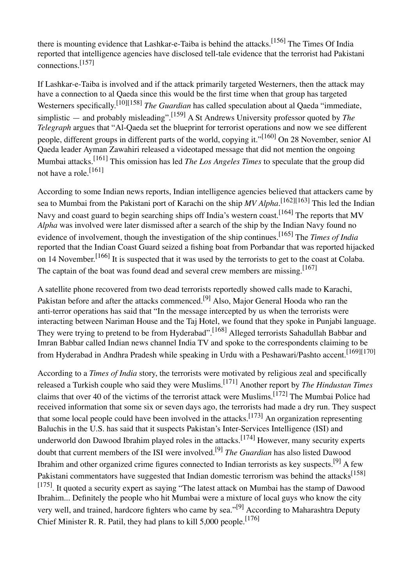there is mounting evidence that Lashkar-e-Taiba is behind the attacks.<sup>[156]</sup> The Times Of India reported that intelligence agencies have disclosed tell-tale evidence that the terrorist had Pakistani connections. [157]

If Lashkar-e-Taiba is involved and if the attack primarily targeted Westerners, then the attack may have a connection to al Qaeda since this would be the first time when that group has targeted Westerners specifically.<sup>[10][158]</sup> *The Guardian* has called speculation about al Qaeda "immediate, simplistic — and probably misleading".[159] A St Andrews University professor quoted by *The Telegraph* argues that "Al-Qaeda set the blueprint for terrorist operations and now we see different people, different groups in different parts of the world, copying it."<sup>[160]</sup> On 28 November, senior Al Qaeda leader Ayman Zawahiri released a videotaped message that did not mention the ongoing Mumbai attacks. [161] This omission has led *The Los Angeles Times* to speculate that the group did not have a role.[161]

According to some Indian news reports, Indian intelligence agencies believed that attackers came by sea to Mumbai from the Pakistani port of Karachi on the ship *MV Alpha.*[162][163] This led the Indian Navy and coast guard to begin searching ships off India's western coast.<sup>[164]</sup> The reports that MV *Alpha* was involved were later dismissed after a search of the ship by the Indian Navy found no evidence of involvement, though the investigation of the ship continues. [165] The *Times of India* reported that the Indian Coast Guard seized a fishing boat from Porbandar that was reported hijacked on 14 November.<sup>[166]</sup> It is suspected that it was used by the terrorists to get to the coast at Colaba. The captain of the boat was found dead and several crew members are missing.<sup>[167]</sup>

A satellite phone recovered from two dead terrorists reportedly showed calls made to Karachi, Pakistan before and after the attacks commenced.<sup>[9]</sup> Also, Major General Hooda who ran the anti-terror operations has said that "In the message intercepted by us when the terrorists were interacting between Nariman House and the Taj Hotel, we found that they spoke in Punjabi language. They were trying to pretend to be from Hyderabad".<sup>[168]</sup> Alleged terrorists Sahadullah Babbar and Imran Babbar called Indian news channel India TV and spoke to the correspondents claiming to be from Hyderabad in Andhra Pradesh while speaking in Urdu with a Peshawari/Pashto accent.<sup>[169][170]</sup>

According to a *Times of India* story, the terrorists were motivated by religious zeal and specifically released a Turkish couple who said they were Muslims. [171] Another report by *The Hindustan Times* claims that over 40 of the victims of the terrorist attack were Muslims.<sup>[172]</sup> The Mumbai Police had received information that some six or seven days ago, the terrorists had made a dry run. They suspect that some local people could have been involved in the attacks.<sup>[173]</sup> An organization representing Baluchis in the U.S. has said that it suspects Pakistan's Inter-Services Intelligence (ISI) and underworld don Dawood Ibrahim played roles in the attacks.<sup>[174]</sup> However, many security experts doubt that current members of the ISI were involved.[9] *The Guardian* has also listed Dawood Ibrahim and other organized crime figures connected to Indian terrorists as key suspects.<sup>[9]</sup> A few Pakistani commentators have suggested that Indian domestic terrorism was behind the attacks<sup>[158]</sup> [175]. It quoted a security expert as saying "The latest attack on Mumbai has the stamp of Dawood Ibrahim... Definitely the people who hit Mumbai were a mixture of local guys who know the city very well, and trained, hardcore fighters who came by sea."<sup>[9]</sup> According to Maharashtra Deputy Chief Minister R. R. Patil, they had plans to kill  $5,000$  people.<sup>[176]</sup>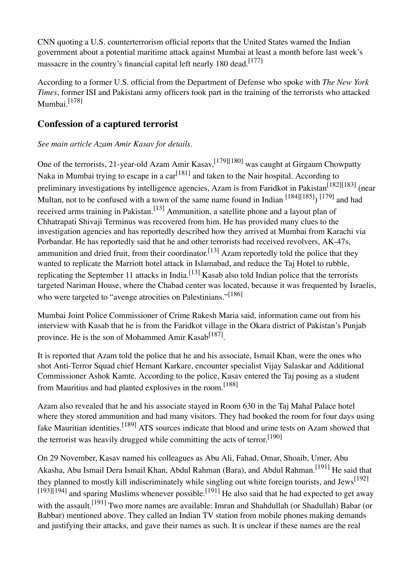CNN quoting a U.S. counterterrorism official reports that the United States warned the Indian government about a potential maritime attack against Mumbai at least a month before last week's massacre in the country's financial capital left nearly 180 dead.<sup>[177]</sup>

According to a former U.S. official from the Department of Defense who spoke with *The New York Times*, former ISI and Pakistani army officers took part in the training of the terrorists who attacked Mumbai.<sup>[178]</sup>

#### **Confession of a captured terrorist**

#### *See main article Azam Amir Kasav for details.*

One of the terrorists, 21-year-old Azam Amir Kasav, 1791<sup>[180]</sup> was caught at Girgaum Chowpatty Naka in Mumbai trying to escape in a car<sup>[181]</sup> and taken to the Nair hospital. According to preliminary investigations by intelligence agencies, Azam is from Faridkot in Pakistan<sup>[182][183]</sup> (near Multan, not to be confused with a town of the same name found in Indian  $^{[184][185]}$   $^{[179]}$  and had received arms training in Pakistan.<sup>[13]</sup> Ammunition, a satellite phone and a layout plan of Chhatrapati Shivaji Terminus was recovered from him. He has provided many clues to the investigation agencies and has reportedly described how they arrived at Mumbai from Karachi via Porbandar. He has reportedly said that he and other terrorists had received revolvers, AK-47s, ammunition and dried fruit, from their coordinator.<sup>[13]</sup> Azam reportedly told the police that they wanted to replicate the Marriott hotel attack in Islamabad, and reduce the Taj Hotel to rubble, replicating the September 11 attacks in India.<sup>[13]</sup> Kasab also told Indian police that the terrorists targeted Nariman House, where the Chabad center was located, because it was frequented by Israelis, who were targeted to "avenge atrocities on Palestinians."<sup>[186]</sup>

Mumbai Joint Police Commissioner of Crime Rakesh Maria said, information came out from his interview with Kasab that he is from the Faridkot village in the Okara district of Pakistan's Punjab province. He is the son of Mohammed Amir Kasab<sup>[187]</sup>.

It is reported that Azam told the police that he and his associate, Ismail Khan, were the ones who shot Anti-Terror Squad chief Hemant Karkare, encounter specialist Vijay Salaskar and Additional Commissioner Ashok Kamte. According to the police, Kasav entered the Taj posing as a student from Mauritius and had planted explosives in the room.<sup>[188]</sup>

Azam also revealed that he and his associate stayed in Room 630 in the Taj Mahal Palace hotel where they stored ammunition and had many visitors. They had booked the room for four days using fake Mauritian identities.<sup>[189]</sup> ATS sources indicate that blood and urine tests on Azam showed that the terrorist was heavily drugged while committing the acts of terror.<sup>[190]</sup>

On 29 November, Kasav named his colleagues as Abu Ali, Fahad, Omar, Shoaib, Umer, Abu Akasha, Abu Ismail Dera Ismail Khan, Abdul Rahman (Bara), and Abdul Rahman.<sup>[191]</sup> He said that they planned to mostly kill indiscriminately while singling out white foreign tourists, and Jews<sup>[192]</sup>  $[193][194]$  and sparing Muslims whenever possible.<sup>[191]</sup> He also said that he had expected to get away with the assault.<sup>[191]</sup> Two more names are available: Imran and Shahdullah (or Shadullah) Babar (or Babbar) mentioned above. They called an Indian TV station from mobile phones making demands and justifying their attacks, and gave their names as such. It is unclear if these names are the real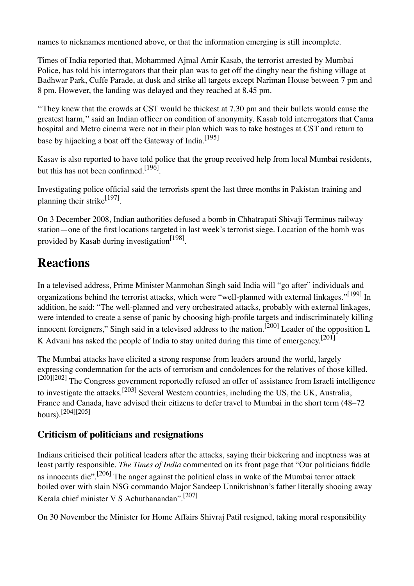names to nicknames mentioned above, or that the information emerging is still incomplete.

Times of India reported that, Mohammed Ajmal Amir Kasab, the terrorist arrested by Mumbai Police, has told his interrogators that their plan was to get off the dinghy near the fishing village at Badhwar Park, Cuffe Parade, at dusk and strike all targets except Nariman House between 7 pm and 8 pm. However, the landing was delayed and they reached at 8.45 pm.

''They knew that the crowds at CST would be thickest at 7.30 pm and their bullets would cause the greatest harm,'' said an Indian officer on condition of anonymity. Kasab told interrogators that Cama hospital and Metro cinema were not in their plan which was to take hostages at CST and return to base by hijacking a boat off the Gateway of India.<sup>[195]</sup>

Kasav is also reported to have told police that the group received help from local Mumbai residents, but this has not been confirmed.<sup>[196]</sup>.

Investigating police official said the terrorists spent the last three months in Pakistan training and planning their strike<sup>[197]</sup>.

On 3 December 2008, Indian authorities defused a bomb in Chhatrapati Shivaji Terminus railway station—one of the first locations targeted in last week's terrorist siege. Location of the bomb was provided by Kasab during investigation<sup>[198]</sup>.

### **Reactions**

In a televised address, Prime Minister Manmohan Singh said India will "go after" individuals and organizations behind the terrorist attacks, which were "well-planned with external linkages."<sup>[199]</sup> In addition, he said: "The well-planned and very orchestrated attacks, probably with external linkages, were intended to create a sense of panic by choosing high-profile targets and indiscriminately killing innocent foreigners," Singh said in a televised address to the nation.<sup>[200]</sup> Leader of the opposition L K Advani has asked the people of India to stay united during this time of emergency.<sup>[201]</sup>

The Mumbai attacks have elicited a strong response from leaders around the world, largely expressing condemnation for the acts of terrorism and condolences for the relatives of those killed. [200][202] The Congress government reportedly refused an offer of assistance from Israeli intelligence to investigate the attacks.<sup>[203]</sup> Several Western countries, including the US, the UK, Australia, France and Canada, have advised their citizens to defer travel to Mumbai in the short term (48–72 hours).[204][205]

#### **Criticism of politicians and resignations**

Indians criticised their political leaders after the attacks, saying their bickering and ineptness was at least partly responsible. *The Times of India* commented on its front page that "Our politicians fiddle as innocents die".<sup>[206]</sup> The anger against the political class in wake of the Mumbai terror attack boiled over with slain NSG commando Major Sandeep Unnikrishnan's father literally shooing away Kerala chief minister V S Achuthanandan".[207]

On 30 November the Minister for Home Affairs Shivraj Patil resigned, taking moral responsibility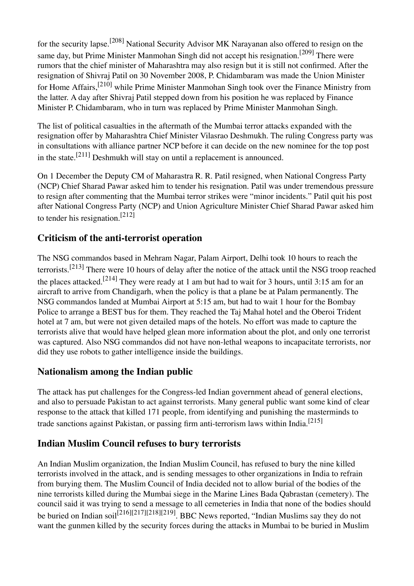for the security lapse.[208] National Security Advisor MK Narayanan also offered to resign on the same day, but Prime Minister Manmohan Singh did not accept his resignation.<sup>[209]</sup> There were rumors that the chief minister of Maharashtra may also resign but it is still not confirmed. After the resignation of Shivraj Patil on 30 November 2008, P. Chidambaram was made the Union Minister for Home Affairs,<sup>[210]</sup> while Prime Minister Manmohan Singh took over the Finance Ministry from the latter. A day after Shivraj Patil stepped down from his position he was replaced by Finance Minister P. Chidambaram, who in turn was replaced by Prime Minister Manmohan Singh.

The list of political casualties in the aftermath of the Mumbai terror attacks expanded with the resignation offer by Maharashtra Chief Minister Vilasrao Deshmukh. The ruling Congress party was in consultations with alliance partner NCP before it can decide on the new nominee for the top post in the state.<sup>[211]</sup> Deshmukh will stay on until a replacement is announced.

On 1 December the Deputy CM of Maharastra R. R. Patil resigned, when National Congress Party (NCP) Chief Sharad Pawar asked him to tender his resignation. Patil was under tremendous pressure to resign after commenting that the Mumbai terror strikes were "minor incidents." Patil quit his post after National Congress Party (NCP) and Union Agriculture Minister Chief Sharad Pawar asked him to tender his resignation.[212]

#### **Criticism of the anti-terrorist operation**

The NSG commandos based in Mehram Nagar, Palam Airport, Delhi took 10 hours to reach the terrorists.<sup>[213]</sup> There were 10 hours of delay after the notice of the attack until the NSG troop reached the places attacked.<sup>[214]</sup> They were ready at 1 am but had to wait for 3 hours, until 3:15 am for an aircraft to arrive from Chandigarh, when the policy is that a plane be at Palam permanently. The NSG commandos landed at Mumbai Airport at 5:15 am, but had to wait 1 hour for the Bombay Police to arrange a BEST bus for them. They reached the Taj Mahal hotel and the Oberoi Trident hotel at 7 am, but were not given detailed maps of the hotels. No effort was made to capture the terrorists alive that would have helped glean more information about the plot, and only one terrorist was captured. Also NSG commandos did not have non-lethal weapons to incapacitate terrorists, nor did they use robots to gather intelligence inside the buildings.

#### **Nationalism among the Indian public**

The attack has put challenges for the Congress-led Indian government ahead of general elections, and also to persuade Pakistan to act against terrorists. Many general public want some kind of clear response to the attack that killed 171 people, from identifying and punishing the masterminds to trade sanctions against Pakistan, or passing firm anti-terrorism laws within India.<sup>[215]</sup>

#### **Indian Muslim Council refuses to bury terrorists**

An Indian Muslim organization, the Indian Muslim Council, has refused to bury the nine killed terrorists involved in the attack, and is sending messages to other organizations in India to refrain from burying them. The Muslim Council of India decided not to allow burial of the bodies of the nine terrorists killed during the Mumbai siege in the Marine Lines Bada Qabrastan (cemetery). The council said it was trying to send a message to all cemeteries in India that none of the bodies should be buried on Indian soil<sup>[216][217][218][219]</sup>. BBC News reported, "Indian Muslims say they do not want the gunmen killed by the security forces during the attacks in Mumbai to be buried in Muslim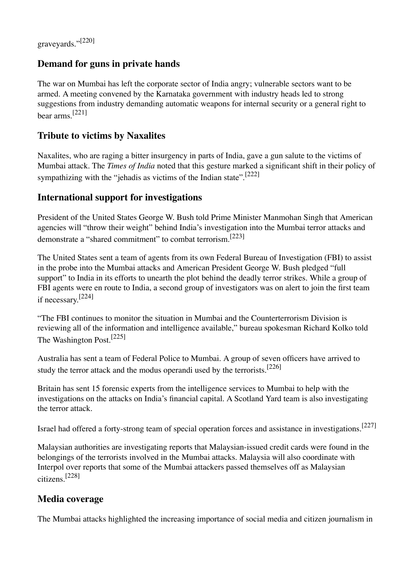#### **Demand for guns in private hands**

The war on Mumbai has left the corporate sector of India angry; vulnerable sectors want to be armed. A meeting convened by the Karnataka government with industry heads led to strong suggestions from industry demanding automatic weapons for internal security or a general right to bear arms. [221]

#### **Tribute to victims by Naxalites**

Naxalites, who are raging a bitter insurgency in parts of India, gave a gun salute to the victims of Mumbai attack. The *Times of India* noted that this gesture marked a significant shift in their policy of sympathizing with the "jehadis as victims of the Indian state".<sup>[222]</sup>

#### **International support for investigations**

President of the United States George W. Bush told Prime Minister Manmohan Singh that American agencies will "throw their weight" behind India's investigation into the Mumbai terror attacks and demonstrate a "shared commitment" to combat terrorism.[223]

The United States sent a team of agents from its own Federal Bureau of Investigation (FBI) to assist in the probe into the Mumbai attacks and American President George W. Bush pledged "full support" to India in its efforts to unearth the plot behind the deadly terror strikes. While a group of FBI agents were en route to India, a second group of investigators was on alert to join the first team if necessary. [224]

"The FBI continues to monitor the situation in Mumbai and the Counterterrorism Division is reviewing all of the information and intelligence available," bureau spokesman Richard Kolko told The Washington Post.<sup>[225]</sup>

Australia has sent a team of Federal Police to Mumbai. A group of seven officers have arrived to study the terror attack and the modus operandi used by the terrorists.<sup>[226]</sup>

Britain has sent 15 forensic experts from the intelligence services to Mumbai to help with the investigations on the attacks on India's financial capital. A Scotland Yard team is also investigating the terror attack.

Israel had offered a forty-strong team of special operation forces and assistance in investigations.<sup>[227]</sup>

Malaysian authorities are investigating reports that Malaysian-issued credit cards were found in the belongings of the terrorists involved in the Mumbai attacks. Malaysia will also coordinate with Interpol over reports that some of the Mumbai attackers passed themselves off as Malaysian citizens. [228]

#### **Media coverage**

The Mumbai attacks highlighted the increasing importance of social media and citizen journalism in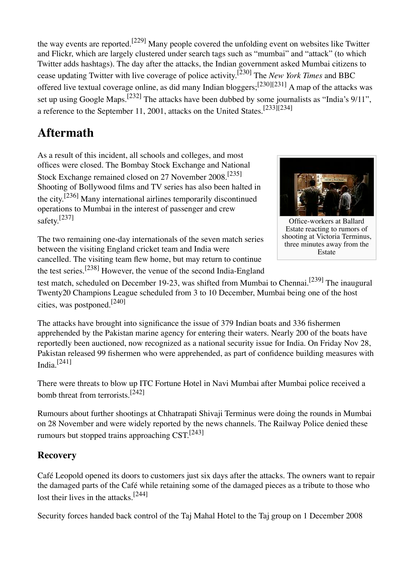the way events are reported.<sup>[229]</sup> Many people covered the unfolding event on websites like Twitter and Flickr, which are largely clustered under search tags such as "mumbai" and "attack" (to which Twitter adds hashtags). The day after the attacks, the Indian government asked Mumbai citizens to cease updating Twitter with live coverage of police activity. [230] The *New York Times* and BBC offered live textual coverage online, as did many Indian bloggers;<sup>[230][231]</sup> A map of the attacks was set up using Google Maps.<sup>[232]</sup> The attacks have been dubbed by some journalists as "India's 9/11", a reference to the September 11, 2001, attacks on the United States.  $[233][234]$ 

# **Aftermath**

As a result of this incident, all schools and colleges, and most offices were closed. The Bombay Stock Exchange and National Stock Exchange remained closed on 27 November 2008.[235] Shooting of Bollywood films and TV series has also been halted in the city.<sup>[236]</sup> Many international airlines temporarily discontinued operations to Mumbai in the interest of passenger and crew safety. [237]

The two remaining one-day internationals of the seven match series between the visiting England cricket team and India were cancelled. The visiting team flew home, but may return to continue the test series.<sup>[238]</sup> However, the venue of the second India-England



Office-workers at Ballard Estate reacting to rumors of shooting at Victoria Terminus, three minutes away from the Estate

test match, scheduled on December 19-23, was shifted from Mumbai to Chennai.<sup>[239]</sup> The inaugural Twenty20 Champions League scheduled from 3 to 10 December, Mumbai being one of the host cities, was postponed.[240]

The attacks have brought into significance the issue of 379 Indian boats and 336 fishermen apprehended by the Pakistan marine agency for entering their waters. Nearly 200 of the boats have reportedly been auctioned, now recognized as a national security issue for India. On Friday Nov 28, Pakistan released 99 fishermen who were apprehended, as part of confidence building measures with India. $[241]$ 

There were threats to blow up ITC Fortune Hotel in Navi Mumbai after Mumbai police received a bomb threat from terrorists.<sup>[242]</sup>

Rumours about further shootings at Chhatrapati Shivaji Terminus were doing the rounds in Mumbai on 28 November and were widely reported by the news channels. The Railway Police denied these rumours but stopped trains approaching  $\text{CST}.^{\text{[243]}}$ 

#### **Recovery**

Café Leopold opened its doors to customers just six days after the attacks. The owners want to repair the damaged parts of the Café while retaining some of the damaged pieces as a tribute to those who lost their lives in the attacks.<sup>[244]</sup>

Security forces handed back control of the Taj Mahal Hotel to the Taj group on 1 December 2008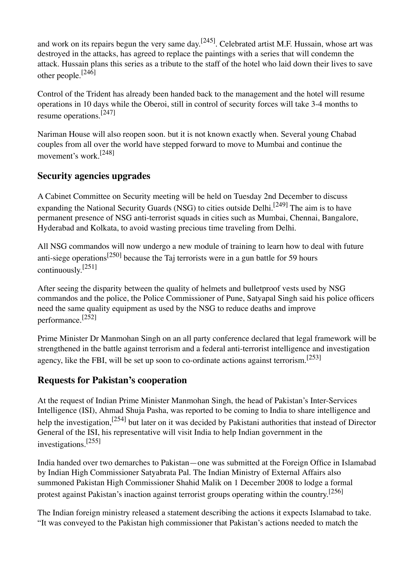and work on its repairs begun the very same day.<sup>[245]</sup>. Celebrated artist M.F. Hussain, whose art was destroyed in the attacks, has agreed to replace the paintings with a series that will condemn the attack. Hussain plans this series as a tribute to the staff of the hotel who laid down their lives to save other people.[246]

Control of the Trident has already been handed back to the management and the hotel will resume operations in 10 days while the Oberoi, still in control of security forces will take 3-4 months to resume operations.<sup>[247]</sup>

Nariman House will also reopen soon. but it is not known exactly when. Several young Chabad couples from all over the world have stepped forward to move to Mumbai and continue the movement's work<sup>[248]</sup>

#### **Security agencies upgrades**

A Cabinet Committee on Security meeting will be held on Tuesday 2nd December to discuss expanding the National Security Guards (NSG) to cities outside Delhi.<sup>[249]</sup> The aim is to have permanent presence of NSG anti-terrorist squads in cities such as Mumbai, Chennai, Bangalore, Hyderabad and Kolkata, to avoid wasting precious time traveling from Delhi.

All NSG commandos will now undergo a new module of training to learn how to deal with future anti-siege operations<sup>[250]</sup> because the Taj terrorists were in a gun battle for 59 hours continuously. [251]

After seeing the disparity between the quality of helmets and bulletproof vests used by NSG commandos and the police, the Police Commissioner of Pune, Satyapal Singh said his police officers need the same quality equipment as used by the NSG to reduce deaths and improve performance.[252]

Prime Minister Dr Manmohan Singh on an all party conference declared that legal framework will be strengthened in the battle against terrorism and a federal anti-terrorist intelligence and investigation agency, like the FBI, will be set up soon to co-ordinate actions against terrorism.  $[253]$ 

#### **Requests for Pakistan's cooperation**

At the request of Indian Prime Minister Manmohan Singh, the head of Pakistan's Inter-Services Intelligence (ISI), Ahmad Shuja Pasha, was reported to be coming to India to share intelligence and help the investigation,<sup>[254]</sup> but later on it was decided by Pakistani authorities that instead of Director General of the ISI, his representative will visit India to help Indian government in the investigations. [255]

India handed over two demarches to Pakistan—one was submitted at the Foreign Office in Islamabad by Indian High Commissioner Satyabrata Pal. The Indian Ministry of External Affairs also summoned Pakistan High Commissioner Shahid Malik on 1 December 2008 to lodge a formal protest against Pakistan's inaction against terrorist groups operating within the country.<sup>[256]</sup>

The Indian foreign ministry released a statement describing the actions it expects Islamabad to take. "It was conveyed to the Pakistan high commissioner that Pakistan's actions needed to match the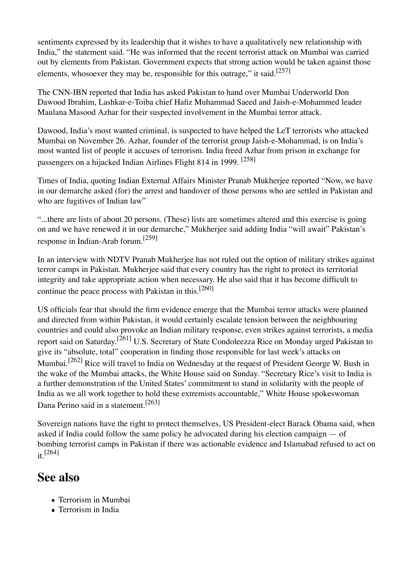sentiments expressed by its leadership that it wishes to have a qualitatively new relationship with India," the statement said. "He was informed that the recent terrorist attack on Mumbai was carried out by elements from Pakistan. Government expects that strong action would be taken against those elements, whosoever they may be, responsible for this outrage," it said.<sup>[257]</sup>

The CNN-IBN reported that India has asked Pakistan to hand over Mumbai Underworld Don Dawood Ibrahim, Lashkar-e-Toiba chief Hafiz Muhammad Saeed and Jaish-e-Mohammed leader Maulana Masood Azhar for their suspected involvement in the Mumbai terror attack.

Dawood, India's most wanted criminal, is suspected to have helped the LeT terrorists who attacked Mumbai on November 26. Azhar, founder of the terrorist group Jaish-e-Mohammad, is on India's most wanted list of people it accuses of terrorism. India freed Azhar from prison in exchange for passengers on a hijacked Indian Airlines Flight 814 in 1999. [258]

Times of India, quoting Indian External Affairs Minister Pranab Mukherjee reported "Now, we have in our demarche asked (for) the arrest and handover of those persons who are settled in Pakistan and who are fugitives of Indian law"

"...there are lists of about 20 persons. (These) lists are sometimes altered and this exercise is going on and we have renewed it in our demarche," Mukherjee said adding India "will await" Pakistan's response in Indian-Arab forum.[259]

In an interview with NDTV Pranab Mukherjee has not ruled out the option of military strikes against terror camps in Pakistan. Mukherjee said that every country has the right to protect its territorial integrity and take appropriate action when necessary. He also said that it has become difficult to continue the peace process with Pakistan in this.<sup>[260]</sup>

US officials fear that should the firm evidence emerge that the Mumbai terror attacks were planned and directed from within Pakistan, it would certainly escalate tension between the neighbouring countries and could also provoke an Indian military response, even strikes against terrorists, a media report said on Saturday.<sup>[261]</sup> U.S. Secretary of State Condoleezza Rice on Monday urged Pakistan to give its "absolute, total" cooperation in finding those responsible for last week's attacks on Mumbai.<sup>[262]</sup> Rice will travel to India on Wednesday at the request of President George W. Bush in the wake of the Mumbai attacks, the White House said on Sunday. "Secretary Rice's visit to India is a further demonstration of the United States' commitment to stand in solidarity with the people of India as we all work together to hold these extremists accountable," White House spokeswoman Dana Perino said in a statement.[263]

Sovereign nations have the right to protect themselves, US President-elect Barack Obama said, when asked if India could follow the same policy he advocated during his election campaign — of bombing terrorist camps in Pakistan if there was actionable evidence and Islamabad refused to act on it.  $[264]$ 

### **See also**

- **Terrorism in Mumbai**
- **Terrorism in India**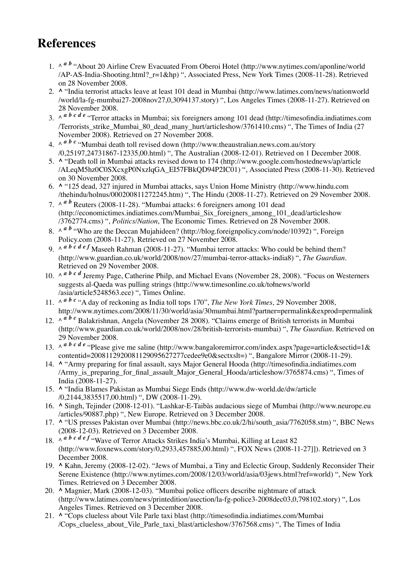## **References**

- 1. ^ <sup>*a b*</sup> "About 20 Airline Crew Evacuated From Oberoi Hotel (http://www.nytimes.com/aponline/world  $AP-AS-India-Shoothing.html$ ?  $r=1&hp)$  ", Associated Press, New York Times (2008-11-28). Retrieved on 28 November 2008.
- 2. A "India terrorist attacks leave at least 101 dead in Mumbai (http://www.latimes.com/news/nationworld /world/la-fg-mumbai27-2008nov27,0,3094137.story) ", Los Angeles Times (2008-11-27). Retrieved on 28 November 2008.
- 3. ^ <sup>*a b c d e* "Terror attacks in Mumbai; six foreigners among 101 dead (http://timesofindia.indiatimes.com</sup> /Terrorists\_strike\_Mumbai\_80\_dead\_many\_hurt/articleshow/3761410.cms) ", The Times of India (27 November 2008). Retrieved on 27 November 2008.
- 4.  $\wedge$  <sup>*a b c* "Mumbai death toll revised down (http://www.theaustralian.news.com.au/story</sup> /0,25197,24731867-12335,00.html) ", The Australian (2008-12-01). Retrieved on 1 December 2008.
- 5. A "Death toll in Mumbai attacks revised down to 174 (http://www.google.com/hostednews/ap/article /ALeqM5hz0C0SXcxgP0NxzlqGA\_EI57FBkQD94P2IC01) ", Associated Press (2008-11-30). Retrieved on 30 November 2008.
- **^** "125 dead, 327 injured in Mumbai attacks, says Union Home Ministry (http://www.hindu.com 6. /thehindu/holnus/000200811272245.htm) ", The Hindu (2008-11-27). Retrieved on 29 November 2008.
- 7.  $\wedge^{\alpha}$  *b* Reuters (2008-11-28). "Mumbai attacks: 6 foreigners among 101 dead (http://economictimes.indiatimes.com/Mumbai\_Six\_foreigners\_among\_101\_dead/articleshow /3762774.cms) ", *Politics/Nation*, The Economic Times. Retrieved on 28 November 2008.
- 8. ^ <sup>*a b*</sup> "Who are the Deccan Mujahideen? (http://blog.foreignpolicy.com/node/10392) ", Foreign Policy.com (2008-11-27). Retrieved on 27 November 2008.
- 9.  $\wedge^{\alpha} b c d e f$  Maseeh Rahman (2008-11-27). "Mumbai terror attacks: Who could be behind them? (http://www.guardian.co.uk/world/2008/nov/27/mumbai-terror-attacks-india8) ", *The Guardian*. Retrieved on 29 November 2008.
- 10.  $\wedge$  *a b c d* Jeremy Page, Catherine Philp, and Michael Evans (November 28, 2008). "Focus on Westerners suggests al-Qaeda was pulling strings (http://www.timesonline.co.uk/tołnews/world /asia/article5248563.ece) ", Times Online.
- 11.  $\wedge$   $\alpha$   $\beta$   $c$  "A day of reckoning as India toll tops 170", *The New York Times*, 29 November 2008, http://www.nytimes.com/2008/11/30/world/asia/30mumbai.html?partner=permalink&exprod=permalink
- 12. ^ *a b c* Balakrishnan, Angela (November 28 2008). "Claims emerge of British terrorists in Mumbai (http://www.guardian.co.uk/world/2008/nov/28/british-terrorists-mumbai) ", *The Guardian*. Retrieved on 29 November 2008.
- 13.  $\wedge$  *a b c d e* "Please give me saline (http://www.bangaloremirror.com/index.aspx?page=article&sectid=1& contentid=2008112920081129095627277cedee9e0&sectxslt=) ", Bangalore Mirror (2008-11-29).
- 14. A "Army preparing for final assault, says Major General Hooda (http://timesofindia.indiatimes.com /Army\_is\_preparing\_for\_final\_assault\_Major\_General\_Hooda/articleshow/3765874.cms) ", Times of India (2008-11-27).
- 15. ^ "India Blames Pakistan as Mumbai Siege Ends (http://www.dw-world.de/dw/article /0,2144,3835517,00.html) ", DW (2008-11-29).
- **^** Singh, Tejinder (2008-12-01). "Lashkar-E-Taibàs audacious siege of Mumbai (http://www.neurope.eu 16. /articles/90887.php) ", New Europe. Retrieved on 3 December 2008.
- 17. ^ "US presses Pakistan over Mumbai (http://news.bbc.co.uk/2/hi/south\_asia/7762058.stm) ", BBC News (2008-12-03). Retrieved on 3 December 2008.
- 18.  $\wedge$  *a b c d e f* "Wave of Terror Attacks Strikes India's Mumbai, Killing at Least 82 (http://www.foxnews.com/story/0,2933,457885,00.html) ", FOX News (2008-11-27]]). Retrieved on 3 December 2008.
- 19. ^ Kahn, Jeremy (2008-12-02). "Jews of Mumbai, a Tiny and Eclectic Group, Suddenly Reconsider Their Serene Existence (http://www.nytimes.com/2008/12/03/world/asia/03jews.html?ref=world) ", New York Times. Retrieved on 3 December 2008.
- **^** Magnier, Mark (2008-12-03). "Mumbai police officers describe nightmare of attack 20. (http://www.latimes.com/news/printedition/asection/la-fg-police3-2008dec03,0,798102.story) ", Los Angeles Times. Retrieved on 3 December 2008.
- **^** "Cops clueless about Vile Parle taxi blast (http://timesofindia.indiatimes.com/Mumbai 21./Cops\_clueless\_about\_Vile\_Parle\_taxi\_blast/articleshow/3767568.cms) ", The Times of India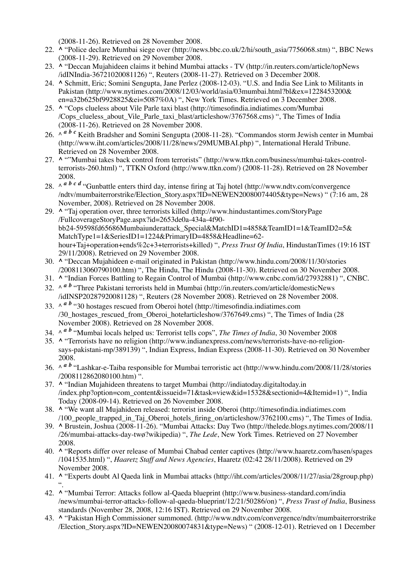(2008-11-26). Retrieved on 28 November 2008.

- 22. ^ "Police declare Mumbai siege over (http://news.bbc.co.uk/2/hi/south\_asia/7756068.stm) ", BBC News (2008-11-29). Retrieved on 29 November 2008.
- **^** "Deccan Mujahideen claims it behind Mumbai attacks TV (http://in.reuters.com/article/topNews 23. /idINIndia-36721020081126) ", Reuters (2008-11-27). Retrieved on 3 December 2008.
- **^** Schmitt, Eric; Somini Sengupta, Jane Perlez (2008-12-03). "U.S. and India See Link to Militants in 24. Pakistan (http://www.nytimes.com/2008/12/03/world/asia/03mumbai.html?bl&ex=1228453200& en=a32b625bf9928825&ei=5087%0A) ", New York Times. Retrieved on 3 December 2008.
- **^** "Cops clueless about Vile Parle taxi blast (http://timesofindia.indiatimes.com/Mumbai 25. /Cops\_clueless\_about\_Vile\_Parle\_taxi\_blast/articleshow/3767568.cms) ", The Times of India (2008-11-26). Retrieved on 28 November 2008.
- 26. ^ <sup>*a b c*</sup> Keith Bradsher and Somini Sengupta (2008-11-28). "Commandos storm Jewish center in Mumbai (http://www.iht.com/articles/2008/11/28/news/29MUMBAI.php) ", International Herald Tribune. Retrieved on 28 November 2008.
- 27. A ""Mumbai takes back control from terrorists" (http://www.ttkn.com/business/mumbai-takes-controlterrorists-260.html) ", TTKN Oxford (http://www.ttkn.com/) (2008-11-28). Retrieved on 28 November 2008.
- 28.  $\wedge^{\alpha}$  *b c d* "Gunbattle enters third day, intense firing at Taj hotel (http://www.ndtv.com/convergence /ndtv/mumbaiterrorstrike/Election\_Story.aspx?ID=NEWEN20080074405&type=News) " (7:16 am, 28 November, 2008). Retrieved on 28 November 2008.
- **^** "Taj operation over, three terrorists killed (http://www.hindustantimes.com/StoryPage 29. /FullcoverageStoryPage.aspx?id=2653de0a-434a-4f90 bb24-59598fd65686Mumbaiunderattack\_Special&MatchID1=4858&TeamID1=1&TeamID2=5& MatchType1=1&SeriesID1=1224&PrimaryID=4858&Headline=62 hour+Taj+operation+ends%2c+3+terrorists+killed) ", *Press Trust Of India*, HindustanTimes (19:16 IST 29/11/2008). Retrieved on 29 November 2008.
- **^** "Deccan Mujahideen e-mail originated in Pakistan (http://www.hindu.com/2008/11/30/stories 30. /2008113060790100.htm) ", The Hindu, The Hindu (2008-11-30). Retrieved on 30 November 2008.
- 31. **^** "Indian Forces Battling to Regain Control of Mumbai (http://www.cnbc.com/id/27932881) ", CNBC.
- 32. ^ <sup>*a b*</sup> "Three Pakistani terrorists held in Mumbai (http://in.reuters.com/article/domesticNews /idINSP20287920081128) ", Reuters (28 November 2008). Retrieved on 28 November 2008.
- 33. ^ <sup>*a b*</sup> "30 hostages rescued from Oberoi hotel (http://timesofindia.indiatimes.com /30\_hostages\_rescued\_from\_Oberoi\_hotełarticleshow/3767649.cms) ", The Times of India (28 November 2008). Retrieved on 28 November 2008.
- 34.  $\wedge^{\alpha}$  *b* "Mumbai locals helped us: Terrorist tells cops", *The Times of India*, 30 November 2008
- 35. A "Terrorists have no religion (http://www.indianexpress.com/news/terrorists-have-no-religionsays-pakistani-mp/389139) ", Indian Express, Indian Express (2008-11-30). Retrieved on 30 November 2008.
- 36. ^ <sup>*a b*</sup> "Lashkar-e-Taiba responsible for Mumbai terroristic act (http://www.hindu.com/2008/11/28/stories /2008112862080100.htm) ".
- **^** "Indian Mujahideen threatens to target Mumbai (http://indiatoday.digitaltoday.in 37. /index.php?option=com\_content&issueid=71&task=view&id=15328&sectionid=4&Itemid=1) ", India Today (2008-09-14). Retrieved on 26 November 2008.
- **^** "We want all Mujahideen released: terrorist inside Oberoi (http://timesofindia.indiatimes.com 38. /100\_people\_trapped\_in\_Taj\_Oberoi\_hotels\_firing\_on/articleshow/3762100.cms) ", The Times of India.
- **^** Brustein, Joshua (2008-11-26). "Mumbai Attacks: Day Two (http://thelede.blogs.nytimes.com/2008/11 39. /26/mumbai-attacks-day-twø?wikipedia) ", *The Lede*, New York Times. Retrieved on 27 November 2008.
- **^** "Reports differ over release of Mumbai Chabad center captives (http://www.haaretz.com/hasen/spages 40. /1041535.html) ", *Haaretz Staff and News Agencies*, Haaretz (02:42 28/11/2008). Retrieved on 29 November 2008.
- **^** "Experts doubt Al Qaeda link in Mumbai attacks (http://iht.com/articles/2008/11/27/asia/28group.php) 41. ".
- 42. ^ "Mumbai Terror: Attacks follow al-Qaeda blueprint (http://www.business-standard.com/india /news/mumbai-terror-attacks-follow-al-qaeda-blueprint/12/21/50286/on) ", *Press Trust of India*, Business standards (November 28, 2008, 12:16 IST). Retrieved on 29 November 2008.
- 43. ^ "Pakistan High Commissioner summoned. (http://www.ndtv.com/convergence/ndtv/mumbaiterrorstrike /Election\_Story.aspx?ID=NEWEN20080074831&type=News) " (2008-12-01). Retrieved on 1 December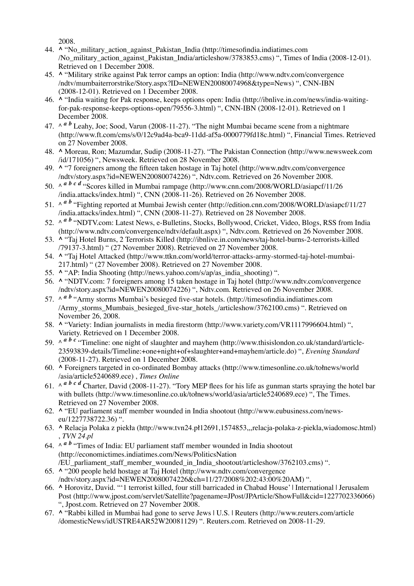2008.

- **^** "No\_military\_action\_against\_Pakistan\_India (http://timesofindia.indiatimes.com 44. /No\_military\_action\_against\_Pakistan\_India/articleshow/3783853.cms) ", Times of India (2008-12-01). Retrieved on 1 December 2008.
- **^** "Military strike against Pak terror camps an option: India (http://www.ndtv.com/convergence 45. /ndtv/mumbaiterrorstrike/Story.aspx?ID=NEWEN20080074968&type=News) ", CNN-IBN (2008-12-01). Retrieved on 1 December 2008.
- **^** "India waiting for Pak response, keeps options open: India (http://ibnlive.in.com/news/india-waiting-46. for-pak-response-keeps-options-open/79556-3.html) ", CNN-IBN (2008-12-01). Retrieved on 1 December 2008.
- 47.  $\wedge^{\alpha}$  *b* Leahy, Joe; Sood, Varun (2008-11-27). "The night Mumbai became scene from a nightmare (http://www.ft.com/cms/s/0/12c9ad4a-bca9-11dd-af5a-0000779fd18c.html) ", Financial Times. Retrieved on 27 November 2008.
- **^** Moreau, Ron; Mazumdar, Sudip (2008-11-27). "The Pakistan Connection (http://www.newsweek.com 48. /id/171056) ", Newsweek. Retrieved on 28 November 2008.
- 49. A "7 foreigners among the fifteen taken hostage in Taj hotel (http://www.ndtv.com/convergence /ndtv/story.aspx?id=NEWEN20080074226) ", Ndtv.com. Retrieved on 26 November 2008.
- 50. ^ <sup>*a b c d* "Scores killed in Mumbai rampage (http://www.cnn.com/2008/WORLD/asiapcf/11/26</sup> /india.attacks/index.html) ", CNN (2008-11-26). Retrieved on 26 November 2008.
- 51. ^ <sup>*a b*</sup> "Fighting reported at Mumbai Jewish center (http://edition.cnn.com/2008/WORLD/asiapcf/11/27 /india.attacks/index.html) ", CNN (2008-11-27). Retrieved on 28 November 2008.
- 52. ^ <sup>*a b*</sup> "NDTV.com: Latest News, e-Bulletins, Stocks, Bollywood, Cricket, Video, Blogs, RSS from India (http://www.ndtv.com/convergence/ndtv/default.aspx) ", Ndtv.com. Retrieved on 26 November 2008.
- **^** "Taj Hotel Burns, 2 Terrorists Killed (http://ibnlive.in.com/news/taj-hotel-burns-2-terrorists-killed 53. /79137-3.html) " (27 November 2008). Retrieved on 27 November 2008.
- 54. ^ "Taj Hotel Attacked (http://www.ttkn.com/world/terror-attacks-army-stormed-taj-hotel-mumbai-217.html) " (27 November 2008). Retrieved on 27 November 2008.
- 55. **^** "AP: India Shooting (http://news.yahoo.com/s/ap/as\_india\_shooting) ".
- 56. ^ "NDTV.com: 7 foreigners among 15 taken hostage in Taj hotel (http://www.ndtv.com/convergence /ndtv/story.aspx?id=NEWEN20080074226) ", Ndtv.com. Retrieved on 26 November 2008.
- 57. ^ <sup>*a b*</sup> "Army storms Mumbai's besieged five-star hotels. (http://timesofindia.indiatimes.com /Army\_storms\_Mumbais\_besieged\_five-star\_hotels\_/articleshow/3762100.cms) ". Retrieved on November 26, 2008.
- 58. ^ "Variety: Indian journalists in media firestorm (http://www.variety.com/VR1117996604.html) ", Variety. Retrieved on 1 December 2008.
- 59.  $\wedge^{\alpha}$  *b c* "Timeline: one night of slaughter and mayhem (http://www.thisislondon.co.uk/standard/article-23593839-details/Timeline:+one+night+of+slaughter+and+mayhem/article.do) ", *Evening Standard* (2008-11-27). Retrieved on 1 December 2008.
- **^** Foreigners targeted in co-ordinated Bombay attacks (http://www.timesonline.co.uk/tołnews/world 60. /asia/article5240689.ece) , *Times Online*
- 61.  $\wedge$  *a b c d* Charter, David (2008-11-27). "Tory MEP flees for his life as gunman starts spraying the hotel bar with bullets (http://www.timesonline.co.uk/tołnews/world/asia/article5240689.ece) ", The Times. Retrieved on 27 November 2008.
- 62. A "EU parliament staff member wounded in India shootout (http://www.eubusiness.com/newseu/1227738722.36) ".
- **^** Relacja Polaka z piekła (http://www.tvn24.pł12691,1574853,,,relacja-polaka-z-piekla,wiadomosc.html) 63. , *TVN 24.pl*
- 64.  $\wedge^{\alpha}$  *b* "Times of India: EU parliament staff member wounded in India shootout (http://economictimes.indiatimes.com/News/PoliticsNation /EU\_parliament\_staff\_member\_wounded\_in\_India\_shootout/articleshow/3762103.cms) ".
- **^** "200 people held hostage at Taj Hotel (http://www.ndtv.com/convergence 65. /ndtv/story.aspx?id=NEWEN20080074226&ch=11/27/2008%202:43:00%20AM) ".
- **^** Horovitz, David. "'1 terrorist killed, four still barricaded in Chabad House' | International | Jerusalem 66. Post (http://www.jpost.com/servlet/Satellite?pagename=JPost/JPArticle/ShowFull&cid=1227702336066) ", Jpost.com. Retrieved on 27 November 2008.
- 67. A "Rabbi killed in Mumbai had gone to serve Jews | U.S. | Reuters (http://www.reuters.com/article /domesticNews/idUSTRE4AR52W20081129) ". Reuters.com. Retrieved on 2008-11-29.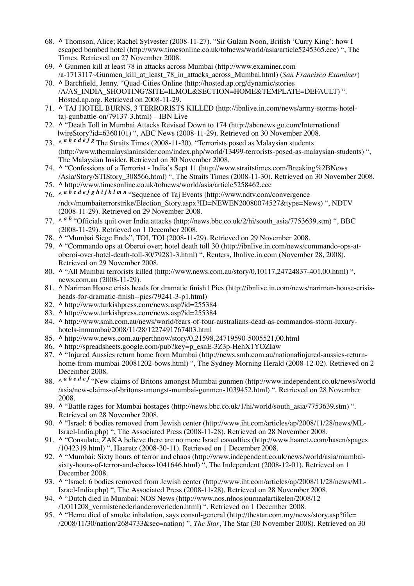- **^** Thomson, Alice; Rachel Sylvester (2008-11-27). "Sir Gulam Noon, British 'Curry King': how I 68. escaped bombed hotel (http://www.timesonline.co.uk/tołnews/world/asia/article5245365.ece) ", The Times. Retrieved on 27 November 2008.
- **^** Gunmen kill at least 78 in attacks across Mumbai (http://www.examiner.com 69. /a-1713117~Gunmen\_kill\_at\_least\_78\_in\_attacks\_across\_Mumbai.html) (*San Francisco Examiner*)
- **^** Barchfield, Jenny. "Quad-Cities Online (http://hosted.ap.org/dynamic/stories 70. /A/AS\_INDIA\_SHOOTING?SITE=ILMOL&SECTION=HOME&TEMPLATE=DEFAULT) ". Hosted.ap.org. Retrieved on 2008-11-29.
- **^** TAJ HOTEL BURNS, 3 TERRORISTS KILLED (http://ibnlive.in.com/news/army-storms-hotel-71. taj-gunbattle-on/79137-3.html) – IBN Live
- 72. ^ "Death Toll in Mumbai Attacks Revised Down to 174 (http://abcnews.go.com/International łwireStory?id=6360101) ", ABC News (2008-11-29). Retrieved on 30 November 2008.
- 73.  $\wedge$  *a b c d e f g* The Straits Times (2008-11-30). "Terrorists posed as Malaysian students (http://www.themalaysianinsider.com/index.php/world/13499-terrorists-posed-as-malaysian-students) ", The Malaysian Insider. Retrieved on 30 November 2008.
- 74. A "Confessions of a Terrorist India's Sept 11 (http://www.straitstimes.com/Breaking%2BNews /Asia/Story/STIStory\_308566.html) ", The Straits Times (2008-11-30). Retrieved on 30 November 2008.
- 75. **^** http://www.timesonline.co.uk/tołnews/world/asia/article5258462.ece
- 76.  $\wedge$  *a b c d e f g h i j k l m n* "Sequence of Taj Events (http://www.ndtv.com/convergence /ndtv/mumbaiterrorstrike/Election\_Story.aspx?ID=NEWEN20080074527&type=News) ", NDTV (2008-11-29). Retrieved on 29 November 2008.
- 77. ^ <sup>*a b*</sup> "Officials quit over India attacks (http://news.bbc.co.uk/2/hi/south\_asia/7753639.stm) ", BBC (2008-11-29). Retrieved on 1 December 2008.
- 78. **^** "Mumbai Siege Ends", TOI, TOI (2008-11-29). Retrieved on 29 November 2008.
- **^** "Commando ops at Oberoi over; hotel death toll 30 (http://ibnlive.in.com/news/commando-ops-at-79. oberoi-over-hotel-death-toll-30/79281-3.html) ", Reuters, Ibnlive.in.com (November 28, 2008). Retrieved on 29 November 2008.
- **^** "All Mumbai terrorists killed (http://www.news.com.au/story/0,10117,24724837-401,00.html) ", 80. news.com.au (2008-11-29).
- 81. **^** Nariman House crisis heads for dramatic finish | Pics (http://ibnlive.in.com/news/nariman-house-crisisheads-for-dramatic-finish--pics/79241-3-p1.html)
- 82. **^** http://www.turkishpress.com/news.asp?id=255384
- 83. **^** http://www.turkishpress.com/news.asp?id=255384
- **^** http://www.smh.com.au/news/world/fears-of-four-australians-dead-as-commandos-storm-luxury-84. hotels-inmumbai/2008/11/28/1227491767403.html
- 85. **^** http://www.news.com.au/perthnow/story/0,21598,24719590-5005521,00.html
- 86. **^** http://spreadsheets.google.com/pub?key=p\_esnE-3Z3p-HehX1YOZIaw
- **^** "Injured Aussies return home from Mumbai (http://news.smh.com.au/nationałinjured-aussies-return-87. home-from-mumbai-20081202-6ows.html) ", The Sydney Morning Herald (2008-12-02). Retrieved on 2 December 2008.
- 88.  $\wedge$  *a b c d e f* "New claims of Britons amongst Mumbai gunmen (http://www.independent.co.uk/news/world /asia/new-claims-of-britons-amongst-mumbai-gunmen-1039452.html) ". Retrieved on 28 November 2008.
- **^** "Battle rages for Mumbai hostages (http://news.bbc.co.uk/1/hi/world/south\_asia/7753639.stm) ". 89. Retrieved on 28 November 2008.
- 90. ^ "Israel: 6 bodies removed from Jewish center (http://www.iht.com/articles/ap/2008/11/28/news/ML-Israel-India.php) ", The Associated Press (2008-11-28). Retrieved on 28 November 2008.
- 91. A "Consulate, ZAKA believe there are no more Israel casualties (http://www.haaretz.com/hasen/spages /1042319.html) ", Haaretz (2008-30-11). Retrieved on 1 December 2008.
- 92. A "Mumbai: Sixty hours of terror and chaos (http://www.independent.co.uk/news/world/asia/mumbaisixty-hours-of-terror-and-chaos-1041646.html) ", The Independent (2008-12-01). Retrieved on 1 December 2008.
- 93. ^ "Israel: 6 bodies removed from Jewish center (http://www.iht.com/articles/ap/2008/11/28/news/ML-Israel-India.php) ", The Associated Press (2008-11-28). Retrieved on 28 November 2008.
- **^** "Dutch died in Mumbai: NOS News (http://www.nos.nłnosjournaałartikelen/2008/12 94. /1/011208\_vermistenederlanderoverleden.html) ". Retrieved on 1 December 2008.
- 95. A "Hema died of smoke inhalation, says consul-general (http://thestar.com.my/news/story.asp?file= /2008/11/30/nation/2684733&sec=nation) ", *The Star*, The Star (30 November 2008). Retrieved on 30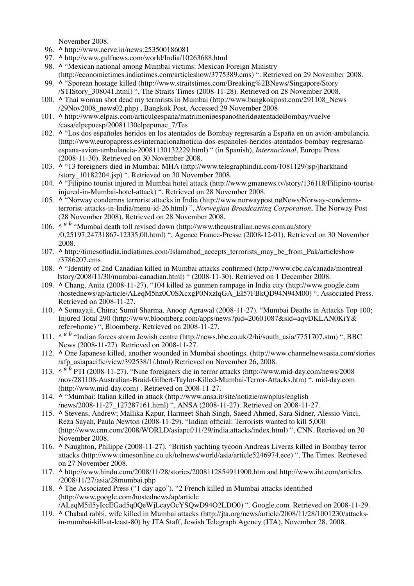November 2008.

- 96. **^** http://www.nerve.in/news:253500186081
- 97. **^** http://www.gulfnews.com/world/India/10263688.html
- 98. ^ "Mexican national among Mumbai victims: Mexican Foreign Ministry (http://economictimes.indiatimes.com/articleshow/3775389.cms) ". Retrieved on 29 November 2008.
- 99. A "Sporean hostage killed (http://www.straitstimes.com/Breaking%2BNews/Singapore/Story /STIStory\_308041.html) ", The Straits Times (2008-11-28). Retrieved on 28 November 2008.
- 100. A Thai woman shot dead my terrorists in Mumbai (http://www.bangkokpost.com/291108\_News /29Nov2008\_news02.php) , Bangkok Post, Accessed 29 November 2008
- **^** http://www.elpais.com/articuløespana/matrimoniøespanołheridøatentadøBombay/vuelve 101. /casa/elpepuesp/20081130elpepunac\_7/Tes
- 102. ^ "Los dos españoles heridos en los atentados de Bombay regresarán a España en un avión-ambulancia (http://www.europapress.es/internacionałnoticia-dos-espanoles-heridos-atentados-bombay-regresaranespana-avion-ambulancia-20081130132229.html) " (in Spanish), *Internacional*, Europa Press (2008-11-30). Retrieved on 30 November 2008.
- 103. ^ "13 foreigners died in Mumbai: MHA (http://www.telegraphindia.com/1081129/jsp/jharkhand /story\_10182204.jsp) ". Retrieved on 30 November 2008.
- 104. ^ "Filipino tourist injured in Mumbai hotel attack (http://www.gmanews.tv/story/136118/Filipino-touristinjured-in-Mumbai-hotel-attack) ". Retrieved on 28 November 2008.
- 105. ^ "Norway condemns terrorist attacks in India (http://www.norwaypost.nøNews/Norway-condemnsterrorist-attacks-in-India/menu-id-26.html) ", *Norwegian Broadcasting Corporation*, The Norway Post (28 November 2008). Retrieved on 28 November 2008.
- 106. ^  $a$  *b* "Mumbai death toll revised down (http://www.theaustralian.news.com.au/story /0,25197,24731867-12335,00.html) ", Agence France-Presse (2008-12-01). Retrieved on 30 November 2008.
- 107. ^ http://timesofindia.indiatimes.com/Islamabad\_accepts\_terrorists\_may\_be\_from\_Pak/articleshow /3786207.cms
- 108. A "Identity of 2nd Canadian killed in Mumbai attacks confirmed (http://www.cbc.ca/canada/montreal łstory/2008/11/30/mumbai-canadian.html) " (2008-11-30). Retrieved on 1 December 2008.
- 109. ^ Chang, Anita (2008-11-27). "104 killed as gunmen rampage in India city (http://www.google.com /hostednews/ap/article/ALeqM5hz0C0SXcxgP0NxzlqGA\_EI57FBkQD94N94M00) ", Associated Press. Retrieved on 2008-11-27.
- 110. ^ Somayaji, Chitra; Sumit Sharma, Anoop Agrawal (2008-11-27). "Mumbai Deaths in Attacks Top 100; Injured Total 290 (http://www.bloomberg.com/apps/news?pid=20601087&sid=aqvDKLAN0KiY& refer=home) ", Bloomberg. Retrieved on 2008-11-27.
- 111.  $\wedge^{\alpha}$  *b* "Indian forces storm Jewish centre (http://news.bbc.co.uk/2/hi/south\_asia/7751707.stm) ", BBC News (2008-11-27). Retrieved on 2008-11-27.
- 112. ^ One Japanese killed, another wounded in Mumbai shootings. (http://www.channelnewsasia.com/stories /afp\_asiapacific/view/392538/1/.html) Retrieved on November 26, 2008.
- 113. ^ *a b* PTI (2008-11-27). "Nine foreigners die in terror attacks (http://www.mid-day.com/news/2008 /nov/281108-Australian-Braid-Gilbert-Taylor-Killed-Mumbai-Terror-Attacks.htm) ". mid-day.com (http://www.mid-day.com) . Retrieved on 2008-11-27.
- 114. ^ "Mumbai: Italian killed in attack (http://www.ansa.it/site/notizie/awnplus/english /news/2008-11-27\_127287161.html) ", ANSA (2008-11-27). Retrieved on 2008-11-27.
- 115. ^ Stevens, Andrew; Mallika Kapur, Harmeet Shah Singh, Saeed Ahmed, Sara Sidner, Alessio Vinci, Reza Sayah, Paula Newton (2008-11-29). "Indian official: Terrorists wanted to kill 5,000 (http://www.cnn.com/2008/WORLD/asiapcf/11/29/india.attacks/index.html) ", CNN. Retrieved on 30 November 2008.
- 116. ^ Naughton, Philippe (2008-11-27). "British yachting tycoon Andreas Liveras killed in Bombay terror attacks (http://www.timesonline.co.uk/tołnews/world/asia/article5246974.ece) ", The Times. Retrieved on 27 November 2008.
- **^** http://www.hindu.com/2008/11/28/stories/2008112854911900.htm and http://www.iht.com/articles 117. /2008/11/27/asia/28mumbai.php
- 118. The Associated Press ("1 day ago"). "2 French killed in Mumbai attacks identified (http://www.google.com/hostednews/ap/article /ALeqM5il5yIccEGad5q0QeWjLcayOcYSQwD94O2LDO0) ". Google.com. Retrieved on 2008-11-29.
- 119. ^ Chabad rabbi, wife killed in Mumbai attacks (http://jta.org/news/article/2008/11/28/1001230/attacksin-mumbai-kill-at-least-80) by JTA Staff, Jewish Telegraph Agency (JTA), November 28, 2008.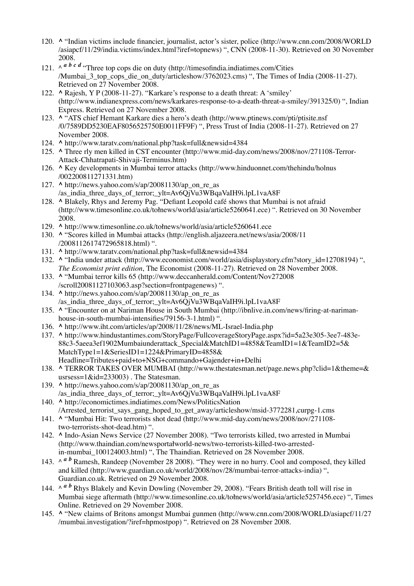- 120. A "Indian victims include financier, journalist, actor's sister, police (http://www.cnn.com/2008/WORLD /asiapcf/11/29/india.victims/index.html?iref=topnews) ", CNN (2008-11-30). Retrieved on 30 November 2008.
- 121.  $\wedge^{\alpha}$  *b c d* "Three top cops die on duty (http://timesofindia.indiatimes.com/Cities /Mumbai 3 top cops die on duty/articleshow/3762023.cms) ", The Times of India (2008-11-27). Retrieved on 27 November 2008.
- 122. A Rajesh, Y P (2008-11-27). "Karkare's response to a death threat: A 'smiley' (http://www.indianexpress.com/news/karkares-response-to-a-death-threat-a-smiley/391325/0) ", Indian Express. Retrieved on 27 November 2008.
- 123. A "ATS chief Hemant Karkare dies a hero's death (http://www.ptinews.com/pti/ptisite.nsf /0/7589DD5230EAF8056525750E0011FF9F) ", Press Trust of India (2008-11-27). Retrieved on 27 November 2008.
- 124. **^** http://www.taratv.com/national.php?task=full&newsid=4384
- 125. A Three rly men killed in CST encounter (http://www.mid-day.com/news/2008/nov/271108-Terror-Attack-Chhatrapati-Shivaji-Terminus.htm)
- 126. A Key developments in Mumbai terror attacks (http://www.hinduonnet.com/thehindu/holnus /002200811271331.htm)
- **^** http://news.yahoo.com/s/ap/20081130/ap\_on\_re\_as 127. /as\_india\_three\_days\_of\_terror;\_ylt=Av6QjVu3WBqaVaIH9i.lpL1vaA8F
- 128. ^ Blakely, Rhys and Jeremy Pag. "Defiant Leopold café shows that Mumbai is not afraid (http://www.timesonline.co.uk/tołnews/world/asia/article5260641.ece) ". Retrieved on 30 November 2008.
- 129. **^** http://www.timesonline.co.uk/tołnews/world/asia/article5260641.ece
- 130. ^ "Scores killed in Mumbai attacks (http://english.aljazeera.net/news/asia/2008/11 /2008112617472965818.html) ".
- 131. **^** http://www.taratv.com/national.php?task=full&newsid=4384
- 132. ^ "India under attack (http://www.economist.com/world/asia/displaystory.cfm?story\_id=12708194) ", *The Economist print edition*, The Economist (2008-11-27). Retrieved on 28 November 2008.
- 133. A "Mumbai terror kills 65 (http://www.deccanherald.com/Content/Nov272008 /scroll20081127103063.asp?section=frontpagenews) ".
- **^** http://news.yahoo.com/s/ap/20081130/ap\_on\_re\_as 134. /as\_india\_three\_days\_of\_terror;\_ylt=Av6QjVu3WBqaVaIH9i.lpL1vaA8F
- 135. A "Encounter on at Nariman House in South Mumbai (http://ibnlive.in.com/news/firing-at-narimanhouse-in-south-mumbai-intensifies/79156-3-1.html) ".
- 136. **^** http://www.iht.com/articles/ap/2008/11/28/news/ML-Israel-India.php
- 137. ^ http://www.hindustantimes.com/StoryPage/FullcoverageStoryPage.aspx?id=5a23e305-3ee7-483e-88c3-5aeea3ef1902Mumbaiunderattack\_Special&MatchID1=4858&TeamID1=1&TeamID2=5& MatchType1=1&SeriesID1=1224&PrimaryID=4858& Headline=Tributes+paid+to+NSG+commando+Gajender+in+Delhi
- 138. ^ TERROR TAKES OVER MUMBAI (http://www.thestatesman.net/page.news.php?clid=1&theme=& usrsess=1&id=233003) . The Statesman.
- **^** http://news.yahoo.com/s/ap/20081130/ap\_on\_re\_as 139. /as\_india\_three\_days\_of\_terror;\_ylt=Av6QjVu3WBqaVaIH9i.lpL1vaA8F
- 140. A http://economictimes.indiatimes.com/News/PoliticsNation /Arrested\_terrorist\_says\_gang\_hoped\_to\_get\_away/articleshow/msid-3772281,curpg-1.cms
- 141. ^ "Mumbai Hit: Two terrorists shot dead (http://www.mid-day.com/news/2008/nov/271108two-terrorists-shot-dead.htm) ".
- 142. ^ Indo-Asian News Service (27 November 2008). "Two terrorists killed, two arrested in Mumbai (http://www.thaindian.com/newsportałworld-news/two-terrorists-killed-two-arrestedin-mumbai\_100124003.html) ", The Thaindian. Retrieved on 28 November 2008.
- 143. ^ *a b* Ramesh, Randeep (November 28 2008). "They were in no hurry. Cool and composed, they killed and killed (http://www.guardian.co.uk/world/2008/nov/28/mumbai-terror-attacks-india) ", Guardian.co.uk. Retrieved on 29 November 2008.
- 144. ^ *a b* Rhys Blakely and Kevin Dowling (November 29, 2008). "Fears British death toll will rise in Mumbai siege aftermath (http://www.timesonline.co.uk/tołnews/world/asia/article5257456.ece) ", Times Online. Retrieved on 29 November 2008.
- 145. A "New claims of Britons amongst Mumbai gunmen (http://www.cnn.com/2008/WORLD/asiapcf/11/27 /mumbai.investigation/?iref=hpmostpop) ". Retrieved on 28 November 2008.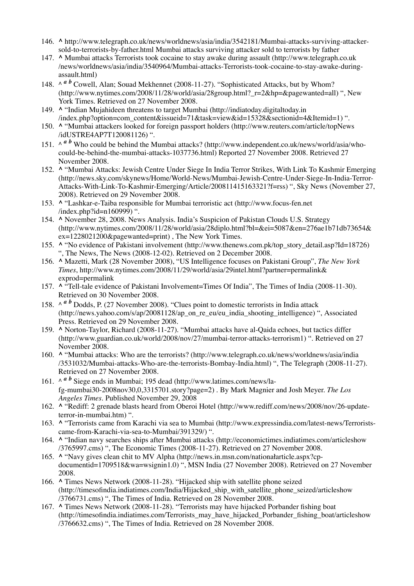- 146. ^ http://www.telegraph.co.uk/news/worldnews/asia/india/3542181/Mumbai-attacks-surviving-attackersold-to-terrorists-by-father.html Mumbai attacks surviving attacker sold to terrorists by father
- 147. A Mumbai attacks Terrorists took cocaine to stay awake during assault (http://www.telegraph.co.uk /news/worldnews/asia/india/3540964/Mumbai-attacks-Terrorists-took-cocaine-to-stay-awake-duringassault.html)
- 148. ^  $a$  <sup>*b*</sup> Cowell, Alan; Souad Mekhennet (2008-11-27). "Sophisticated Attacks, but by Whom? (http://www.nytimes.com/2008/11/28/world/asia/28group.html?\_r=2&hp=&pagewanted=all) ", New York Times. Retrieved on 27 November 2008.
- 149. ^ "Indian Mujahideen threatens to target Mumbai (http://indiatoday.digitaltoday.in /index.php?option=com\_content&issueid=71&task=view&id=15328&sectionid=4&Itemid=1) ".
- 150. A "Mumbai attackers looked for foreign passport holders (http://www.reuters.com/article/topNews /idUSTRE4AP7T120081126) ".
- 151.  $\wedge^{\alpha}$  *b* Who could be behind the Mumbai attacks? (http://www.independent.co.uk/news/world/asia/whocould-be-behind-the-mumbai-attacks-1037736.html) Reported 27 November 2008. Retrieved 27 November 2008.
- 152. ^ "Mumbai Attacks: Jewish Centre Under Siege In India Terror Strikes, With Link To Kashmir Emerging (http://news.sky.com/skynews/Home/World-News/Mumbai-Jewish-Centre-Under-Siege-In-India-Terror-Attacks-With-Link-To-Kashmir-Emerging/Article/200811415163321?f=rss) ", Sky News (November 27, 2008). Retrieved on 29 November 2008.
- 153. ^ "Lashkar-e-Taiba responsible for Mumbai terroristic act (http://www.focus-fen.net /index.php?id=n160999) ".
- 154. ^ November 28, 2008. News Analysis. India's Suspicion of Pakistan Clouds U.S. Strategy (http://www.nytimes.com/2008/11/28/world/asia/28diplo.html?bl=&ei=5087&en=276ae1b71db73654& ex=1228021200&pagewanted=print) , The New York Times.
- 155. ^ "No evidence of Pakistani involvement (http://www.thenews.com.pk/top\_story\_detail.asp?Id=18726) ", The News, The News (2008-12-02). Retrieved on 2 December 2008.
- **^** Mazetti, Mark (28 November 2008), "US Intelligence focuses on Pakistani Group", *The New York* 156. *Times*, http://www.nytimes.com/2008/11/29/world/asia/29intel.html?partner=permalink& exprod=permalink
- 157. A "Tell-tale evidence of Pakistani Involvement=Times Of India", The Times of India (2008-11-30). Retrieved on 30 November 2008.
- 158.  $\wedge^{\alpha}$  *b* Dodds, P. (27 November 2008). "Clues point to domestic terrorists in India attack (http://news.yahoo.com/s/ap/20081128/ap\_on\_re\_eu/eu\_india\_shooting\_intelligence) ", Associated Press. Retrieved on 29 November 2008.
- 159. ^ Norton-Taylor, Richard (2008-11-27). "Mumbai attacks have al-Qaida echoes, but tactics differ (http://www.guardian.co.uk/world/2008/nov/27/mumbai-terror-attacks-terrorism1) ". Retrieved on 27 November 2008.
- 160. A "Mumbai attacks: Who are the terrorists? (http://www.telegraph.co.uk/news/worldnews/asia/india /3531032/Mumbai-attacks-Who-are-the-terrorists-Bombay-India.html) ", The Telegraph (2008-11-27). Retrieved on 27 November 2008.
- 161. A *a b* Siege ends in Mumbai; 195 dead (http://www.latimes.com/news/lafg-mumbai30-2008nov30,0,3315701.story?page=2) . By Mark Magnier and Josh Meyer. *The Los Angeles Times*. Published November 29, 2008
- 162. A "Rediff: 2 grenade blasts heard from Oberoi Hotel (http://www.rediff.com/news/2008/nov/26-updateterror-in-mumbai.htm) ".
- 163. ^ "Terrorists came from Karachi via sea to Mumbai (http://www.expressindia.com/latest-news/Terroristscame-from-Karachi-via-sea-to-Mumbai/391329/) ".
- 164. A "Indian navy searches ships after Mumbai attacks (http://economictimes.indiatimes.com/articleshow /3765997.cms) ", The Economic Times (2008-11-27). Retrieved on 27 November 2008.
- 165. A "Navy gives clean chit to MV Alpha (http://news.in.msn.com/nationałarticle.aspx?cpdocumentid=1709518&wa=wsignin1.0) ", MSN India (27 November 2008). Retrieved on 27 November 2008.
- 166. A Times News Network (2008-11-28). "Hijacked ship with satellite phone seized (http://timesofindia.indiatimes.com/India/Hijacked\_ship\_with\_satellite\_phone\_seized/articleshow /3766731.cms) ", The Times of India. Retrieved on 28 November 2008.
- 167. A Times News Network (2008-11-28). "Terrorists may have hijacked Porbander fishing boat (http://timesofindia.indiatimes.com/Terrorists\_may\_have\_hijacked\_Porbander\_fishing\_boat/articleshow /3766632.cms) ", The Times of India. Retrieved on 28 November 2008.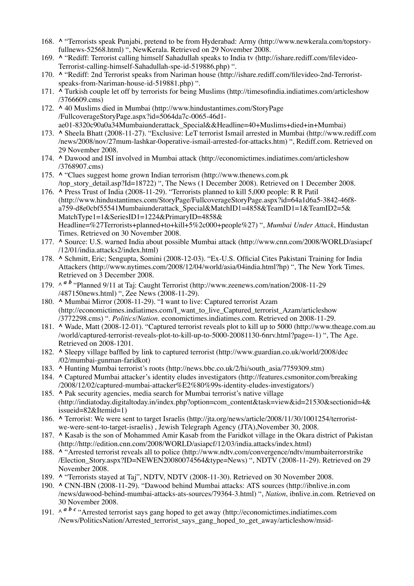- 168. A "Terrorists speak Punjabi, pretend to be from Hyderabad: Army (http://www.newkerala.com/topstoryfullnews-52568.html) ", NewKerala. Retrieved on 29 November 2008.
- 169. A "Rediff: Terrorist calling himself Sahadullah speaks to India tv (http://ishare.rediff.com/filevideo-Terrorist-calling-himself-Sahadullah-spe-id-519886.php) ".
- 170. A "Rediff: 2nd Terrorist speaks from Nariman house (http://ishare.rediff.com/filevideo-2nd-Terroristspeaks-from-Nariman-house-id-519881.php) ".
- 171. A Turkish couple let off by terrorists for being Muslims (http://timesofindia.indiatimes.com/articleshow /3766609.cms)
- 172. ^ 40 Muslims died in Mumbai (http://www.hindustantimes.com/StoryPage /FullcoverageStoryPage.aspx?id=5064da7c-0065-46d1 ae01-8320c90a0a34Mumbaiunderattack\_Special&&Headline=40+Muslims+died+in+Mumbai)
- 173. ^ Sheela Bhatt (2008-11-27). "Exclusive: LeT terrorist Ismail arrested in Mumbai (http://www.rediff.com /news/2008/nov/27mum-lashkar-0operative-ismail-arrested-for-attacks.htm) ", Rediff.com. Retrieved on 29 November 2008.
- 174. ^ Dawood and ISI involved in Mumbai attack (http://economictimes.indiatimes.com/articleshow /3768907.cms)
- 175. A "Clues suggest home grown Indian terrorism (http://www.thenews.com.pk /top\_story\_detail.asp?Id=18722) ", The News (1 December 2008). Retrieved on 1 December 2008.
- 176. A Press Trust of India (2008-11-29). "Terrorists planned to kill 5,000 people: R R Patil (http://www.hindustantimes.com/StoryPage/FullcoverageStoryPage.aspx?id=64a1d6a5-3842-46f8 a759-d8e0cbf55541Mumbaiunderattack\_Special&MatchID1=4858&TeamID1=1&TeamID2=5& MatchType1=1&SeriesID1=1224&PrimaryID=4858& Headline=%27Terrorists+planned+to+kill+5%2c000+people%27) ", *Mumbai Under Attack*, Hindustan Times. Retrieved on 30 November 2008.
- 177. ^ Source: U.S. warned India about possible Mumbai attack (http://www.cnn.com/2008/WORLD/asiapcf /12/01/india.attacks2/index.html)
- 178. ^ Schmitt, Eric; Sengupta, Somini (2008-12-03). "Ex-U.S. Official Cites Pakistani Training for India Attackers (http://www.nytimes.com/2008/12/04/world/asia/04india.html?hp) ", The New York Times. Retrieved on 3 December 2008.
- 179. ^ <sup>*a b*</sup> "Planned 9/11 at Taj: Caught Terrorist (http://www.zeenews.com/nation/2008-11-29 /487150news.html) ", Zee News (2008-11-29).
- 180. A Mumbai Mirror (2008-11-29). "I want to live: Captured terrorist Azam (http://economictimes.indiatimes.com/I\_want\_to\_live\_Captured\_terrorist\_Azam/articleshow /3772298.cms) ". *Politics/Nation*. economictimes.indiatimes.com. Retrieved on 2008-11-29.
- 181. ^ Wade, Matt (2008-12-01). "Captured terrorist reveals plot to kill up to 5000 (http://www.theage.com.au /world/captured-terrorist-reveals-plot-to-kill-up-to-5000-20081130-6nrv.html?page=-1) ", The Age. Retrieved on 2008-1201.
- 182. A Sleepy village baffled by link to captured terrorist (http://www.guardian.co.uk/world/2008/dec /02/mumbai-gunman-faridkot)
- 183. **^** Hunting Mumbai terrorist's roots (http://news.bbc.co.uk/2/hi/south\_asia/7759309.stm)
- 184. ^ Captured Mumbai attacker's identity eludes investigators (http://features.csmonitor.com/breaking /2008/12/02/captured-mumbai-attacker%E2%80%99s-identity-eludes-investigators/)
- 185. A Pak security agencies, media search for Mumbai terrorist's native village (http://indiatoday.digitaltoday.in/index.php?option=com\_content&task=view&id=21530&sectionid=4& issueid=82&Itemid=1)
- 186. ^ Terrorist: We were sent to target Israelis (http://jta.org/news/article/2008/11/30/1001254/terroristwe-were-sent-to-target-israelis) , Jewish Telegraph Agency (JTA),November 30, 2008.
- 187. A Kasab is the son of Mohammed Amir Kasab from the Faridkot village in the Okara district of Pakistan (http://http://edition.cnn.com/2008/WORLD/asiapcf/12/03/india.attacks/index.html)
- 188. A "Arrested terrorist reveals all to police (http://www.ndtv.com/convergence/ndtv/mumbaiterrorstrike /Election\_Story.aspx?ID=NEWEN20080074564&type=News) ", NDTV (2008-11-29). Retrieved on 29 November 2008.
- 189. **^** "Terrorists stayed at Taj", NDTV, NDTV (2008-11-30). Retrieved on 30 November 2008.
- 190. ^ CNN-IBN (2008-11-29). "Dawood behind Mumbai attacks: ATS sources (http://ibnlive.in.com /news/dawood-behind-mumbai-attacks-ats-sources/79364-3.html) ", *Nation*, ibnlive.in.com. Retrieved on 30 November 2008.
- 191.  $\wedge^{\text{a } b \text{ } c}$  "Arrested terrorist says gang hoped to get away (http://economictimes.indiatimes.com /News/PoliticsNation/Arrested\_terrorist\_says\_gang\_hoped\_to\_get\_away/articleshow/msid-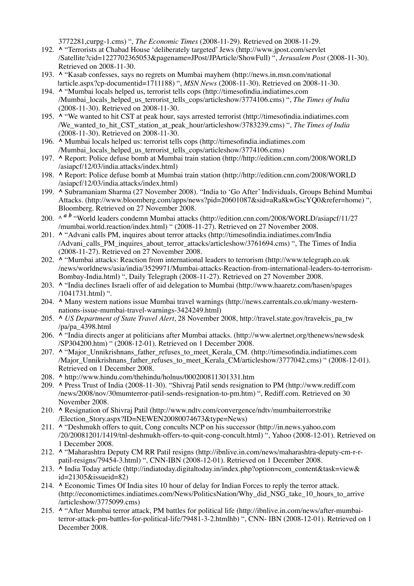3772281,curpg-1.cms) ", *The Economic Times* (2008-11-29). Retrieved on 2008-11-29.

- 192. A "Terrorists at Chabad House 'deliberately targeted' Jews (http://www.jpost.com/servlet /Satellite?cid=1227702365053&pagename=JPost/JPArticle/ShowFull) ", *Jerusalem Post* (2008-11-30). Retrieved on 2008-11-30.
- 193. ^ "Kasab confesses, says no regrets on Mumbai mayhem (http://news.in.msn.com/nationał łarticle.aspx?cp-documentid=1711188) ", *MSN News* (2008-11-30). Retrieved on 2008-11-30.
- 194. A "Mumbai locals helped us, terrorist tells cops (http://timesofindia.indiatimes.com /Mumbai\_locals\_helped\_us\_terrorist\_tells\_cops/articleshow/3774106.cms) ", *The Times of India* (2008-11-30). Retrieved on 2008-11-30.
- 195. A "We wanted to hit CST at peak hour, says arrested terrorist (http://timesofindia.indiatimes.com /We\_wanted\_to\_hit\_CST\_station\_at\_peak\_hour/articleshow/3783239.cms) ", *The Times of India* (2008-11-30). Retrieved on 2008-11-30.
- 196. A Mumbai locals helped us: terrorist tells cops (http://timesofindia.indiatimes.com /Mumbai\_locals\_helped\_us\_terrorist\_tells\_cops/articleshow/3774106.cms)
- 197. A Report: Police defuse bomb at Mumbai train station (http://http://edition.cnn.com/2008/WORLD /asiapcf/12/03/india.attacks/index.html)
- 198. A Report: Police defuse bomb at Mumbai train station (http://http://edition.cnn.com/2008/WORLD /asiapcf/12/03/india.attacks/index.html)
- 199. ^ Subramaniam Sharma (27 November 2008). "India to 'Go After' Individuals, Groups Behind Mumbai Attacks. (http://www.bloomberg.com/apps/news?pid=20601087&sid=aRa8kwGscYQ0&refer=home) ", Bloomberg. Retrieved on 27 November 2008.
- 200. ^ <sup>*a b*</sup> "World leaders condemn Mumbai attacks (http://edition.cnn.com/2008/WORLD/asiapcf/11/27 /mumbai.world.reaction/index.html) " (2008-11-27). Retrieved on 27 November 2008.
- 201. A "Advani calls PM, inquires about terror attacks (http://timesofindia.indiatimes.com/India /Advani\_calls\_PM\_inquires\_about\_terror\_attacks/articleshow/3761694.cms) ", The Times of India (2008-11-27). Retrieved on 27 November 2008.
- 202. ^ "Mumbai attacks: Reaction from international leaders to terrorism (http://www.telegraph.co.uk /news/worldnews/asia/india/3529971/Mumbai-attacks-Reaction-from-international-leaders-to-terrorism-Bombay-India.html) ", Daily Telegraph (2008-11-27). Retrieved on 27 November 2008.
- **^** "India declines Israeli offer of aid delegation to Mumbai (http://www.haaretz.com/hasen/spages 203. /1041731.html) ".
- **^** Many western nations issue Mumbai travel warnings (http://news.carrentals.co.uk/many-western-204. nations-issue-mumbai-travel-warnings-3424249.html)
- **^** *US Department of State Travel Alert*, 28 November 2008, http://travel.state.gov/travełcis\_pa\_tw 205. /pa/pa\_4398.html
- 206. A "India directs anger at politicians after Mumbai attacks. (http://www.alertnet.org/thenews/newsdesk /SP304200.htm) " (2008-12-01). Retrieved on 1 December 2008.
- 207. A "Major\_Unnikrishnans\_father\_refuses\_to\_meet\_Kerala\_CM. (http://timesofindia.indiatimes.com /Major\_Unnikrishnans\_father\_refuses\_to\_meet\_Kerala\_CM/articleshow/3777042.cms) " (2008-12-01). Retrieved on 1 December 2008.
- 208. **^** http://www.hindu.com/thehindu/holnus/000200811301331.htm
- **^** Press Trust of India (2008-11-30). "Shivraj Patil sends resignation to PM (http://www.rediff.com 209. /news/2008/nov/30mumterror-patil-sends-resignation-to-pm.htm) ", Rediff.com. Retrieved on 30 November 2008.
- 210. A Resignation of Shivraj Patil (http://www.ndtv.com/convergence/ndtv/mumbaiterrorstrike /Election\_Story.aspx?ID=NEWEN20080074673&type=News)
- 211. A "Deshmukh offers to quit, Cong concults NCP on his successor (http://in.news.yahoo.com /20/20081201/1419/tnl-deshmukh-offers-to-quit-cong-concult.html) ", Yahoo (2008-12-01). Retrieved on 1 December 2008.
- 212. ^ "Maharashtra Deputy CM RR Patil resigns (http://ibnlive.in.com/news/maharashtra-deputy-cm-r-rpatil-resigns/79454-3.html) ", CNN-IBN (2008-12-01). Retrieved on 1 December 2008.
- **^** India Today article (http://indiatoday.digitaltoday.in/index.php?option=com\_content&task=view& 213. id=21305&issueid=82)
- 214. A Economic Times Of India sites 10 hour of delay for Indian Forces to reply the terror attack. (http://economictimes.indiatimes.com/News/PoliticsNation/Why\_did\_NSG\_take\_10\_hours\_to\_arrive /articleshow/3775099.cms)
- 215. A "After Mumbai terror attack, PM battles for political life (http://ibnlive.in.com/news/after-mumbaiterror-attack-pm-battles-for-political-life/79481-3-2.htmlhb) ", CNN- IBN (2008-12-01). Retrieved on 1 December 2008.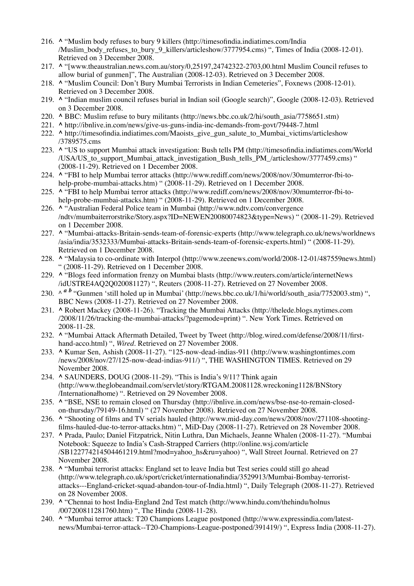- **^** "Muslim body refuses to bury 9 killers (http://timesofindia.indiatimes.com/India 216. /Muslim\_body\_refuses\_to\_bury\_9\_killers/articleshow/3777954.cms) ", Times of India (2008-12-01). Retrieved on 3 December 2008.
- **^** "[www.theaustralian.news.com.au/story/0,25197,24742322-2703,00.html Muslim Council refuses to 217. allow burial of gunmen]", The Australian (2008-12-03). Retrieved on 3 December 2008.
- 218. A "Muslim Council: Don't Bury Mumbai Terrorists in Indian Cemeteries", Foxnews (2008-12-01). Retrieved on 3 December 2008.
- 219. A "Indian muslim council refuses burial in Indian soil (Google search)", Google (2008-12-03). Retrieved on 3 December 2008.
- 220. **^** BBC: Muslim refuse to bury militants (http://news.bbc.co.uk/2/hi/south\_asia/7758651.stm)
- 221. **^** http://ibnlive.in.com/news/give-us-guns-india-inc-demands-from-govt/79448-7.html
- 222. ^ http://timesofindia.indiatimes.com/Maoists\_give\_gun\_salute\_to\_Mumbai\_victims/articleshow /3789575.cms
- 223. A "US to support Mumbai attack investigation: Bush tells PM (http://timesofindia.indiatimes.com/World /USA/US\_to\_support\_Mumbai\_attack\_investigation\_Bush\_tells\_PM\_/articleshow/3777459.cms) " (2008-11-29). Retrieved on 1 December 2008.
- 224. A "FBI to help Mumbai terror attacks (http://www.rediff.com/news/2008/nov/30mumterror-fbi-tohelp-probe-mumbai-attacks.htm) " (2008-11-29). Retrieved on 1 December 2008.
- 225. ^ "FBI to help Mumbai terror attacks (http://www.rediff.com/news/2008/nov/30mumterror-fbi-tohelp-probe-mumbai-attacks.htm) " (2008-11-29). Retrieved on 1 December 2008.
- **^** "Australian Federal Police team in Mumbai (http://www.ndtv.com/convergence 226. /ndtv/mumbaiterrorstrike/Story.aspx?ID=NEWEN20080074823&type=News) " (2008-11-29). Retrieved on 1 December 2008.
- 227. ^ "Mumbai-attacks-Britain-sends-team-of-forensic-experts (http://www.telegraph.co.uk/news/worldnews /asia/india/3532333/Mumbai-attacks-Britain-sends-team-of-forensic-experts.html) " (2008-11-29). Retrieved on 1 December 2008.
- 228. ^ "Malaysia to co-ordinate with Interpol (http://www.zeenews.com/world/2008-12-01/487559news.html) " (2008-11-29). Retrieved on 1 December 2008.
- 229. A "Blogs feed information frenzy on Mumbai blasts (http://www.reuters.com/article/internetNews /idUSTRE4AQ2Q020081127) ", Reuters (2008-11-27). Retrieved on 27 November 2008.
- 230. ^ <sup>*a b* "Gunmen 'still holed up in Mumbai' (http://news.bbc.co.uk/1/hi/world/south\_asia/7752003.stm) ",</sup> BBC News (2008-11-27). Retrieved on 27 November 2008.
- 231. A Robert Mackey (2008-11-26). "Tracking the Mumbai Attacks (http://thelede.blogs.nytimes.com /2008/11/26/tracking-the-mumbai-attacks/?pagemode=print) ". New York Times. Retrieved on 2008-11-28.
- 232. ^ "Mumbai Attack Aftermath Detailed, Tweet by Tweet (http://blog.wired.com/defense/2008/11/firsthand-acco.html) ", *Wired*. Retrieved on 27 November 2008.
- **^** Kumar Sen, Ashish (2008-11-27). "125-now-dead-indias-911 (http://www.washingtontimes.com 233. /news/2008/nov/27/125-now-dead-indias-911/) ", THE WASHINGTON TIMES. Retrieved on 29 November 2008.
- **^** SAUNDERS, DOUG (2008-11-29). "This is India's 9/11? Think again 234. (http://www.theglobeandmail.com/servlet/story/RTGAM.20081128.wreckoning1128/BNStory /Internationałhome) ". Retrieved on 29 November 2008.
- 235. ^ "BSE, NSE to remain closed on Thursday (http://ibnlive.in.com/news/bse-nse-to-remain-closedon-thursday/79149-16.html) " (27 November 2008). Retrieved on 27 November 2008.
- 236. A "Shooting of films and TV serials hauled (http://www.mid-day.com/news/2008/nov/271108-shootingfilms-hauled-due-to-terror-attacks.htm) ", MiD-Day (2008-11-27). Retrieved on 28 November 2008.
- **^** Prada, Paulo; Daniel Fitzpatrick, Nitin Luthra, Dan Michaels, Jeanne Whalen (2008-11-27). "Mumbai 237. Notebook: Squeeze to India's Cash-Strapped Carriers (http://online.wsj.com/article /SB122774214504461219.html?mod=yahoo\_hs&ru=yahoo) ", Wall Street Journal. Retrieved on 27 November 2008.
- 238. A "Mumbai terrorist attacks: England set to leave India but Test series could still go ahead (http://www.telegraph.co.uk/sport/cricket/internationałindia/3529913/Mumbai-Bombay-terroristattacks---England-cricket-squad-abandon-tour-of-India.html) ", Daily Telegraph (2008-11-27). Retrieved on 28 November 2008.
- **^** "Chennai to host India-England 2nd Test match (http://www.hindu.com/thehindu/holnus 239. /007200811281760.htm) ", The Hindu (2008-11-28).
- 240. A "Mumbai terror attack: T20 Champions League postponed (http://www.expressindia.com/latestnews/Mumbai-terror-attack--T20-Champions-League-postponed/391419/) ", Express India (2008-11-27).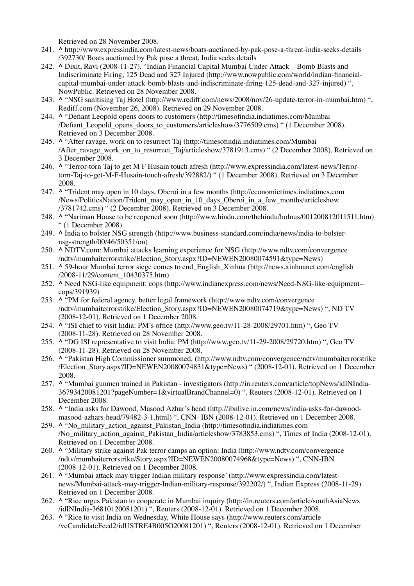Retrieved on 28 November 2008.

- 241. ^ http://www.expressindia.com/latest-news/boats-auctioned-by-pak-pose-a-threat-india-seeks-details /392730/ Boats auctioned by Pak pose a threat, India seeks details
- **^** Dixit, Ravi (2008-11-27). "Indian Financial Capital Mumbai Under Attack Bomb Blasts and 242. Indiscriminate Firing; 125 Dead and 327 Injured (http://www.nowpublic.com/world/indian-financialcapital-mumbai-under-attack-bomb-blasts-and-indiscriminate-firing-125-dead-and-327-injured) ", NowPublic. Retrieved on 28 November 2008.
- **^** "NSG sanitising Taj Hotel (http://www.rediff.com/news/2008/nov/26-update-terror-in-mumbai.htm) ", 243. Rediff.com (November 26, 2008). Retrieved on 29 November 2008.
- **^** "Defiant Leopold opens doors to customers (http://timesofindia.indiatimes.com/Mumbai 244. /Defiant\_Leopold\_opens\_doors\_to\_customers/articleshow/3776509.cms) " (1 December 2008). Retrieved on 3 December 2008.
- **^** "After ravage, work on to resurrect Taj (http://timesofindia.indiatimes.com/Mumbai 245. /After\_ravage\_work\_on\_to\_resurrect\_Taj/articleshow/3781913.cms) " (2 December 2008). Retrieved on 3 December 2008.
- 246. A "Terror-torn Taj to get M F Husain touch afresh (http://www.expressindia.com/latest-news/Terrortorn-Taj-to-get-M-F-Husain-touch-afresh/392882/) " (1 December 2008). Retrieved on 3 December 2008.
- 247. A "Trident may open in 10 days, Oberoi in a few months (http://economictimes.indiatimes.com /News/PoliticsNation/Trident\_may\_open\_in\_10\_days\_Oberoi\_in\_a\_few\_months/articleshow /3781742.cms) " (2 December 2008). Retrieved on 3 December 2008.
- **^** "Nariman House to be reopened soon (http://www.hindu.com/thehindu/holnus/001200812011511.htm) 248. " (1 December 2008).
- **^** India to bolster NSG strength (http://www.business-standard.com/india/news/india-to-bolster-249. nsg-strength/00/46/50351/on)
- **^** NDTV.com: Mumbai attacks learning experience for NSG (http://www.ndtv.com/convergence 250. /ndtv/mumbaiterrorstrike/Election\_Story.aspx?ID=NEWEN20080074591&type=News)
- **^** 59-hour Mumbai terror siege comes to end\_English\_Xinhua (http://news.xinhuanet.com/english 251. /2008-11/29/content\_10430375.htm)
- 252. ^ Need NSG-like equipment: cops (http://www.indianexpress.com/news/Need-NSG-like-equipment-cops/391939)
- 253. A "PM for federal agency, better legal framework (http://www.ndtv.com/convergence /ndtv/mumbaiterrorstrike/Election\_Story.aspx?ID=NEWEN20080074719&type=News) ", ND TV (2008-12-01). Retrieved on 1 December 2008.
- **^** "ISI chief to visit India: PM's office (http://www.geo.tv/11-28-2008/29701.htm) ", Geo TV 254. (2008-11-28). Retrieved on 28 November 2008.
- 255. ^ "DG ISI representative to visit India: PM (http://www.geo.tv/11-29-2008/29720.htm) ", Geo TV (2008-11-28). Retrieved on 28 November 2008.
- 256. ^ "Pakistan High Commissioner summoned. (http://www.ndtv.com/convergence/ndtv/mumbaiterrorstrike /Election\_Story.aspx?ID=NEWEN20080074831&type=News) " (2008-12-01). Retrieved on 1 December 2008.
- 257. ^ "Mumbai gunmen trained in Pakistan investigators (http://in.reuters.com/article/topNews/idINIndia-36793420081201?pageNumber=1&virtualBrandChannel=0) ", Reuters (2008-12-01). Retrieved on 1 December 2008.
- **^** "India asks for Dawood, Masood Azhar's head (http://ibnlive.in.com/news/india-asks-for-dawood-258. masood-azhars-head/79482-3-1.html) ", CNN- IBN (2008-12-01). Retrieved on 1 December 2008.
- **^** "No\_military\_action\_against\_Pakistan\_India (http://timesofindia.indiatimes.com 259. /No\_military\_action\_against\_Pakistan\_India/articleshow/3783853.cms) ", Times of India (2008-12-01). Retrieved on 1 December 2008.
- 260. A "Military strike against Pak terror camps an option: India (http://www.ndtv.com/convergence /ndtv/mumbaiterrorstrike/Story.aspx?ID=NEWEN20080074968&type=News) ", CNN-IBN (2008-12-01). Retrieved on 1 December 2008.
- 261. A "Mumbai attack may trigger Indian military response' (http://www.expressindia.com/latestnews/Mumbai-attack-may-trigger-Indian-military-response/392202/) ", Indian Express (2008-11-29). Retrieved on 1 December 2008.
- 262. A "Rice urges Pakistan to cooperate in Mumbai inquiry (http://in.reuters.com/article/southAsiaNews /idINIndia-36810120081201) ", Reuters (2008-12-01). Retrieved on 1 December 2008.
- 263. A "Rice to visit India on Wednesday, White House says (http://www.reuters.com/article /vcCandidateFeed2/idUSTRE4B005O20081201) ", Reuters (2008-12-01). Retrieved on 1 December